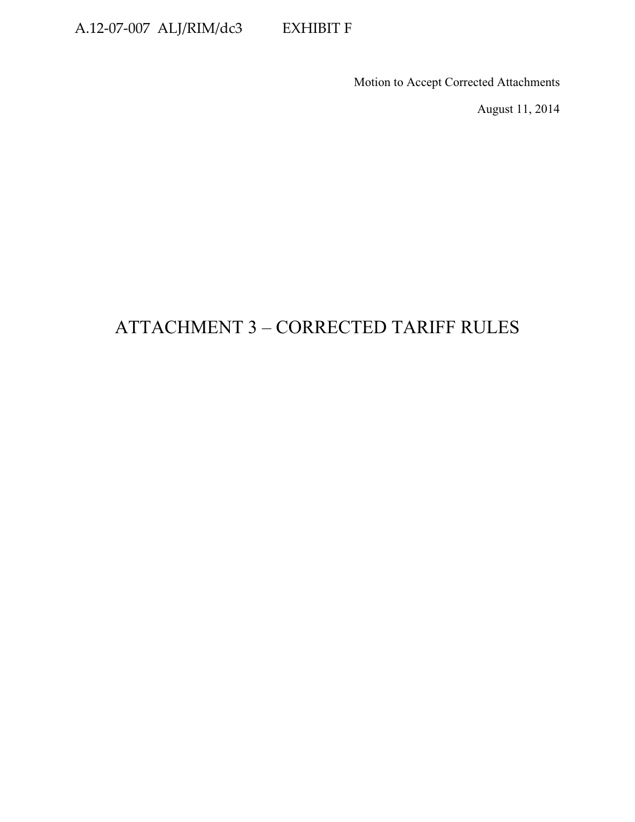### A.12-07-007 ALJ/RIM/dc3 EXHIBIT F

Motion to Accept Corrected Attachments

August 11, 2014

# ATTACHMENT 3 – CORRECTED TARIFF RULES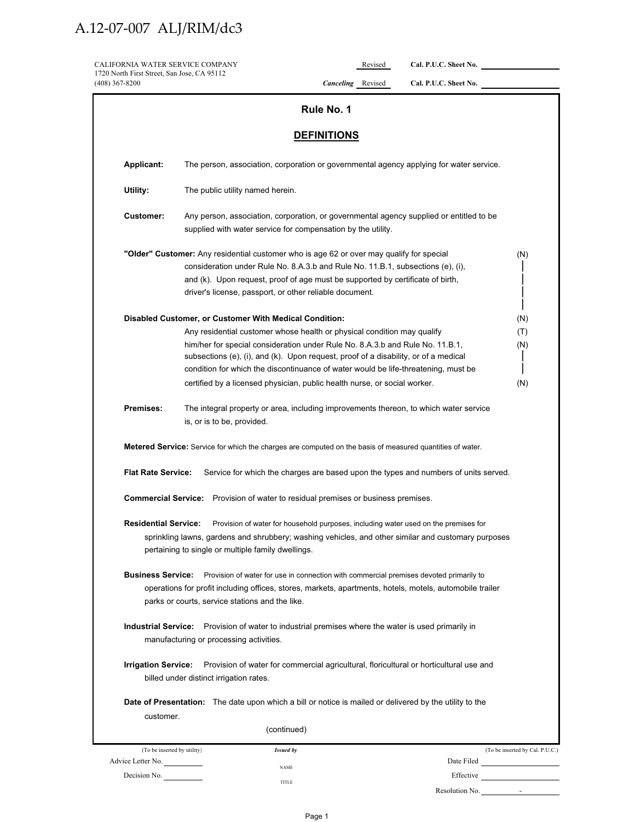| CALIFORNIA WATER SERVICE COMPANY<br>1720 North First Street, San Jose, CA 95112 |                                                                                                                                                                                                                                                                                                                                                                                                                                                                              |                          | Revised | Cal. P.U.C. Sheet No.                                                               |                                 |
|---------------------------------------------------------------------------------|------------------------------------------------------------------------------------------------------------------------------------------------------------------------------------------------------------------------------------------------------------------------------------------------------------------------------------------------------------------------------------------------------------------------------------------------------------------------------|--------------------------|---------|-------------------------------------------------------------------------------------|---------------------------------|
| (408) 367-8200                                                                  |                                                                                                                                                                                                                                                                                                                                                                                                                                                                              | <b>Canceling</b> Revised |         | Cal. P.U.C. Sheet No.                                                               |                                 |
|                                                                                 |                                                                                                                                                                                                                                                                                                                                                                                                                                                                              | Rule No. 1               |         |                                                                                     |                                 |
|                                                                                 |                                                                                                                                                                                                                                                                                                                                                                                                                                                                              |                          |         |                                                                                     |                                 |
|                                                                                 |                                                                                                                                                                                                                                                                                                                                                                                                                                                                              | <b>DEFINITIONS</b>       |         |                                                                                     |                                 |
| <b>Applicant:</b>                                                               | The person, association, corporation or governmental agency applying for water service.                                                                                                                                                                                                                                                                                                                                                                                      |                          |         |                                                                                     |                                 |
| Utility:                                                                        | The public utility named herein.                                                                                                                                                                                                                                                                                                                                                                                                                                             |                          |         |                                                                                     |                                 |
| <b>Customer:</b>                                                                | Any person, association, corporation, or governmental agency supplied or entitled to be<br>supplied with water service for compensation by the utility.                                                                                                                                                                                                                                                                                                                      |                          |         |                                                                                     |                                 |
|                                                                                 | "Older" Customer: Any residential customer who is age 62 or over may qualify for special<br>consideration under Rule No. 8.A.3.b and Rule No. 11.B.1, subsections (e), (i),<br>and (k). Upon request, proof of age must be supported by certificate of birth,<br>driver's license, passport, or other reliable document.                                                                                                                                                     |                          |         |                                                                                     | (N)                             |
|                                                                                 | Disabled Customer, or Customer With Medical Condition:<br>Any residential customer whose health or physical condition may qualify<br>him/her for special consideration under Rule No. 8.A.3.b and Rule No. 11.B.1,<br>subsections (e), (i), and (k). Upon request, proof of a disability, or of a medical<br>condition for which the discontinuance of water would be life-threatening, must be<br>certified by a licensed physician, public health nurse, or social worker. |                          |         |                                                                                     | (N)<br>(T)<br>(N)<br>(N)        |
| Premises:                                                                       | The integral property or area, including improvements thereon, to which water service<br>is, or is to be, provided.                                                                                                                                                                                                                                                                                                                                                          |                          |         |                                                                                     |                                 |
|                                                                                 | <b>Metered Service:</b> Service for which the charges are computed on the basis of measured quantities of water.                                                                                                                                                                                                                                                                                                                                                             |                          |         |                                                                                     |                                 |
| <b>Flat Rate Service:</b>                                                       |                                                                                                                                                                                                                                                                                                                                                                                                                                                                              |                          |         | Service for which the charges are based upon the types and numbers of units served. |                                 |
|                                                                                 | <b>Commercial Service:</b> Provision of water to residual premises or business premises.                                                                                                                                                                                                                                                                                                                                                                                     |                          |         |                                                                                     |                                 |
|                                                                                 | Residential Service: Provision of water for household purposes, including water used on the premises for<br>sprinkling lawns, gardens and shrubbery; washing vehicles, and other similar and customary purposes<br>pertaining to single or multiple family dwellings.                                                                                                                                                                                                        |                          |         |                                                                                     |                                 |
| <b>Business Service:</b>                                                        | Provision of water for use in connection with commercial premises devoted primarily to<br>operations for profit including offices, stores, markets, apartments, hotels, motels, automobile trailer<br>parks or courts, service stations and the like.                                                                                                                                                                                                                        |                          |         |                                                                                     |                                 |
|                                                                                 | Industrial Service: Provision of water to industrial premises where the water is used primarily in<br>manufacturing or processing activities.                                                                                                                                                                                                                                                                                                                                |                          |         |                                                                                     |                                 |
| <b>Irrigation Service:</b>                                                      | Provision of water for commercial agricultural, floricultural or horticultural use and<br>billed under distinct irrigation rates.                                                                                                                                                                                                                                                                                                                                            |                          |         |                                                                                     |                                 |
|                                                                                 | Date of Presentation: The date upon which a bill or notice is mailed or delivered by the utility to the                                                                                                                                                                                                                                                                                                                                                                      |                          |         |                                                                                     |                                 |
| customer.                                                                       | (continued)                                                                                                                                                                                                                                                                                                                                                                                                                                                                  |                          |         |                                                                                     |                                 |
|                                                                                 | (To be inserted by utility)<br><b>Issued by</b>                                                                                                                                                                                                                                                                                                                                                                                                                              |                          |         |                                                                                     | (To be inserted by Cal. P.U.C.) |
| Advice Letter No.                                                               | <b>NAME</b>                                                                                                                                                                                                                                                                                                                                                                                                                                                                  |                          |         |                                                                                     |                                 |
| Decision No.                                                                    |                                                                                                                                                                                                                                                                                                                                                                                                                                                                              |                          |         | Effective                                                                           |                                 |

Resolution No.

TITLE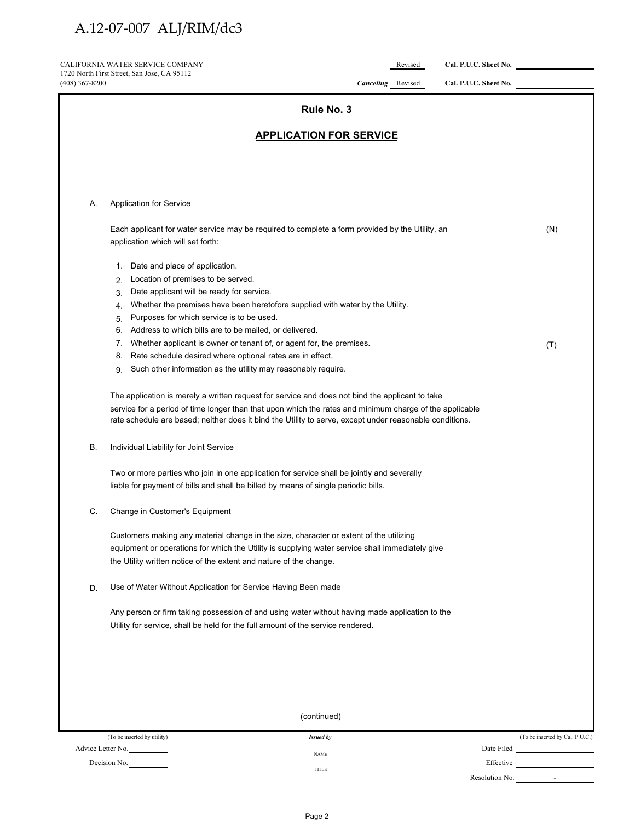CALIFORNIA WATER SERVICE COMPANY Revised Cal. P.U.C. Sheet No. 1720 North First Street, San Jose, CA 95112

| 1720 North First Street, San Jose, CA 95112<br>(408) 367-8200                                                                                                                                                                                                   | <b>Canceling</b> Revised                                                                                                                                                                                                                                                                                              | Cal. P.U.C. Sheet No.           |
|-----------------------------------------------------------------------------------------------------------------------------------------------------------------------------------------------------------------------------------------------------------------|-----------------------------------------------------------------------------------------------------------------------------------------------------------------------------------------------------------------------------------------------------------------------------------------------------------------------|---------------------------------|
|                                                                                                                                                                                                                                                                 | Rule No. 3                                                                                                                                                                                                                                                                                                            |                                 |
|                                                                                                                                                                                                                                                                 | <b>APPLICATION FOR SERVICE</b>                                                                                                                                                                                                                                                                                        |                                 |
|                                                                                                                                                                                                                                                                 |                                                                                                                                                                                                                                                                                                                       |                                 |
| <b>Application for Service</b><br>А.                                                                                                                                                                                                                            |                                                                                                                                                                                                                                                                                                                       |                                 |
| application which will set forth:                                                                                                                                                                                                                               | Each applicant for water service may be required to complete a form provided by the Utility, an                                                                                                                                                                                                                       | (N)                             |
| 1. Date and place of application.<br>Location of premises to be served.<br>2.<br>Date applicant will be ready for service.<br>3.<br>4.                                                                                                                          | Whether the premises have been heretofore supplied with water by the Utility.                                                                                                                                                                                                                                         |                                 |
| Purposes for which service is to be used.<br>5.<br>Address to which bills are to be mailed, or delivered.<br>6.<br>7.<br>Rate schedule desired where optional rates are in effect.<br>8.<br>Such other information as the utility may reasonably require.<br>9. | Whether applicant is owner or tenant of, or agent for, the premises.                                                                                                                                                                                                                                                  | (T)                             |
|                                                                                                                                                                                                                                                                 | The application is merely a written request for service and does not bind the applicant to take<br>service for a period of time longer than that upon which the rates and minimum charge of the applicable<br>rate schedule are based; neither does it bind the Utility to serve, except under reasonable conditions. |                                 |
| В.<br>Individual Liability for Joint Service                                                                                                                                                                                                                    |                                                                                                                                                                                                                                                                                                                       |                                 |
|                                                                                                                                                                                                                                                                 | Two or more parties who join in one application for service shall be jointly and severally<br>liable for payment of bills and shall be billed by means of single periodic bills.                                                                                                                                      |                                 |
| C.<br>Change in Customer's Equipment                                                                                                                                                                                                                            |                                                                                                                                                                                                                                                                                                                       |                                 |
| the Utility written notice of the extent and nature of the change.                                                                                                                                                                                              | Customers making any material change in the size, character or extent of the utilizing<br>equipment or operations for which the Utility is supplying water service shall immediately give                                                                                                                             |                                 |
| Use of Water Without Application for Service Having Been made<br>D.                                                                                                                                                                                             |                                                                                                                                                                                                                                                                                                                       |                                 |
|                                                                                                                                                                                                                                                                 | Any person or firm taking possession of and using water without having made application to the<br>Utility for service, shall be held for the full amount of the service rendered.                                                                                                                                     |                                 |
|                                                                                                                                                                                                                                                                 |                                                                                                                                                                                                                                                                                                                       |                                 |
|                                                                                                                                                                                                                                                                 |                                                                                                                                                                                                                                                                                                                       |                                 |
|                                                                                                                                                                                                                                                                 | (continued)                                                                                                                                                                                                                                                                                                           |                                 |
| (To be inserted by utility)<br>Advice Letter No.                                                                                                                                                                                                                | <b>Issued by</b>                                                                                                                                                                                                                                                                                                      | (To be inserted by Cal. P.U.C.) |
| Decision No.                                                                                                                                                                                                                                                    | <b>NAME</b><br>TITLE                                                                                                                                                                                                                                                                                                  |                                 |

Resolution No.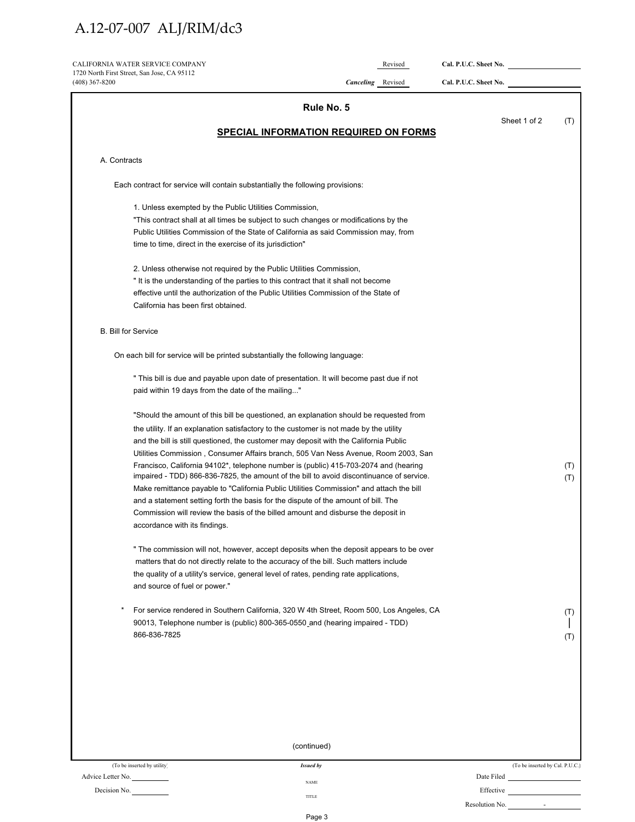| CALIFORNIA WATER SERVICE COMPANY<br>1720 North First Street, San Jose, CA 95112                                                                                                     | Revised                                      | Cal. P.U.C. Sheet No. |     |
|-------------------------------------------------------------------------------------------------------------------------------------------------------------------------------------|----------------------------------------------|-----------------------|-----|
| $(408)$ 367-8200                                                                                                                                                                    | <b>Canceling</b> Revised                     | Cal. P.U.C. Sheet No. |     |
|                                                                                                                                                                                     | Rule No. 5                                   |                       |     |
|                                                                                                                                                                                     | <b>SPECIAL INFORMATION REQUIRED ON FORMS</b> | Sheet 1 of 2          | (T) |
|                                                                                                                                                                                     |                                              |                       |     |
| A. Contracts                                                                                                                                                                        |                                              |                       |     |
| Each contract for service will contain substantially the following provisions:                                                                                                      |                                              |                       |     |
| 1. Unless exempted by the Public Utilities Commission,                                                                                                                              |                                              |                       |     |
| "This contract shall at all times be subject to such changes or modifications by the                                                                                                |                                              |                       |     |
| Public Utilities Commission of the State of California as said Commission may, from                                                                                                 |                                              |                       |     |
| time to time, direct in the exercise of its jurisdiction"                                                                                                                           |                                              |                       |     |
| 2. Unless otherwise not required by the Public Utilities Commission,                                                                                                                |                                              |                       |     |
| "It is the understanding of the parties to this contract that it shall not become                                                                                                   |                                              |                       |     |
| effective until the authorization of the Public Utilities Commission of the State of                                                                                                |                                              |                       |     |
| California has been first obtained.                                                                                                                                                 |                                              |                       |     |
| <b>B. Bill for Service</b>                                                                                                                                                          |                                              |                       |     |
| On each bill for service will be printed substantially the following language:                                                                                                      |                                              |                       |     |
| " This bill is due and payable upon date of presentation. It will become past due if not                                                                                            |                                              |                       |     |
| paid within 19 days from the date of the mailing"                                                                                                                                   |                                              |                       |     |
| "Should the amount of this bill be questioned, an explanation should be requested from                                                                                              |                                              |                       |     |
| the utility. If an explanation satisfactory to the customer is not made by the utility                                                                                              |                                              |                       |     |
| and the bill is still questioned, the customer may deposit with the California Public                                                                                               |                                              |                       |     |
| Utilities Commission, Consumer Affairs branch, 505 Van Ness Avenue, Room 2003, San                                                                                                  |                                              |                       |     |
| Francisco, California 94102*, telephone number is (public) 415-703-2074 and (hearing                                                                                                |                                              |                       | (T) |
| impaired - TDD) 866-836-7825, the amount of the bill to avoid discontinuance of service.<br>Make remittance payable to "California Public Utilities Commission" and attach the bill |                                              |                       | (T) |
| and a statement setting forth the basis for the dispute of the amount of bill. The                                                                                                  |                                              |                       |     |
| Commission will review the basis of the billed amount and disburse the deposit in                                                                                                   |                                              |                       |     |
| accordance with its findings.                                                                                                                                                       |                                              |                       |     |
| " The commission will not, however, accept deposits when the deposit appears to be over                                                                                             |                                              |                       |     |
| matters that do not directly relate to the accuracy of the bill. Such matters include                                                                                               |                                              |                       |     |
| the quality of a utility's service, general level of rates, pending rate applications,                                                                                              |                                              |                       |     |
| and source of fuel or power."                                                                                                                                                       |                                              |                       |     |
| For service rendered in Southern California, 320 W 4th Street, Room 500, Los Angeles, CA                                                                                            |                                              |                       | (T) |
| 90013, Telephone number is (public) 800-365-0550 and (hearing impaired - TDD)                                                                                                       |                                              |                       |     |
| 866-836-7825                                                                                                                                                                        |                                              |                       | (T) |
|                                                                                                                                                                                     |                                              |                       |     |
|                                                                                                                                                                                     |                                              |                       |     |
|                                                                                                                                                                                     |                                              |                       |     |
|                                                                                                                                                                                     |                                              |                       |     |
|                                                                                                                                                                                     |                                              |                       |     |
| (continued)                                                                                                                                                                         |                                              |                       |     |

| (To be inserted by utility) | Issued by | (To be inserted by Cal. P.U.C.) |
|-----------------------------|-----------|---------------------------------|
| Advice Letter No.           | NAME      | Date Filed                      |
| Decision No.                |           | Effective                       |
|                             | TITLE     | Resolution No.<br>$\sim$        |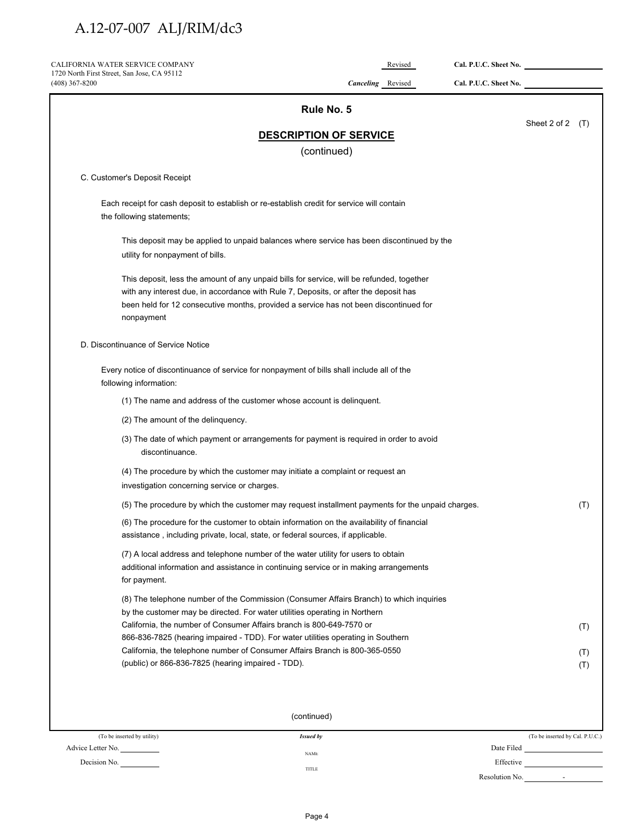| CALIFORNIA WATER SERVICE COMPANY                                                                                                                                             |                                              | Revised | Cal. P.U.C. Sheet No. |                    |            |
|------------------------------------------------------------------------------------------------------------------------------------------------------------------------------|----------------------------------------------|---------|-----------------------|--------------------|------------|
| 1720 North First Street, San Jose, CA 95112<br>(408) 367-8200                                                                                                                | Canceling Revised                            |         | Cal. P.U.C. Sheet No. |                    |            |
|                                                                                                                                                                              | Rule No. 5                                   |         |                       |                    |            |
|                                                                                                                                                                              |                                              |         |                       | Sheet 2 of 2 $(T)$ |            |
|                                                                                                                                                                              | <b>DESCRIPTION OF SERVICE</b><br>(continued) |         |                       |                    |            |
|                                                                                                                                                                              |                                              |         |                       |                    |            |
| C. Customer's Deposit Receipt                                                                                                                                                |                                              |         |                       |                    |            |
| Each receipt for cash deposit to establish or re-establish credit for service will contain<br>the following statements;                                                      |                                              |         |                       |                    |            |
| This deposit may be applied to unpaid balances where service has been discontinued by the                                                                                    |                                              |         |                       |                    |            |
| utility for nonpayment of bills.                                                                                                                                             |                                              |         |                       |                    |            |
| This deposit, less the amount of any unpaid bills for service, will be refunded, together                                                                                    |                                              |         |                       |                    |            |
| with any interest due, in accordance with Rule 7, Deposits, or after the deposit has                                                                                         |                                              |         |                       |                    |            |
| been held for 12 consecutive months, provided a service has not been discontinued for<br>nonpayment                                                                          |                                              |         |                       |                    |            |
| D. Discontinuance of Service Notice                                                                                                                                          |                                              |         |                       |                    |            |
| Every notice of discontinuance of service for nonpayment of bills shall include all of the<br>following information:                                                         |                                              |         |                       |                    |            |
| (1) The name and address of the customer whose account is delinquent.                                                                                                        |                                              |         |                       |                    |            |
| (2) The amount of the delinquency.                                                                                                                                           |                                              |         |                       |                    |            |
| (3) The date of which payment or arrangements for payment is required in order to avoid<br>discontinuance.                                                                   |                                              |         |                       |                    |            |
| (4) The procedure by which the customer may initiate a complaint or request an                                                                                               |                                              |         |                       |                    |            |
| investigation concerning service or charges.                                                                                                                                 |                                              |         |                       |                    |            |
| (5) The procedure by which the customer may request installment payments for the unpaid charges.                                                                             |                                              |         |                       |                    | (T)        |
| (6) The procedure for the customer to obtain information on the availability of financial<br>assistance, including private, local, state, or federal sources, if applicable. |                                              |         |                       |                    |            |
| (7) A local address and telephone number of the water utility for users to obtain                                                                                            |                                              |         |                       |                    |            |
| additional information and assistance in continuing service or in making arrangements                                                                                        |                                              |         |                       |                    |            |
| for payment.                                                                                                                                                                 |                                              |         |                       |                    |            |
| (8) The telephone number of the Commission (Consumer Affairs Branch) to which inquiries<br>by the customer may be directed. For water utilities operating in Northern        |                                              |         |                       |                    |            |
| California, the number of Consumer Affairs branch is 800-649-7570 or                                                                                                         |                                              |         |                       |                    | (T)        |
| 866-836-7825 (hearing impaired - TDD). For water utilities operating in Southern<br>California, the telephone number of Consumer Affairs Branch is 800-365-0550              |                                              |         |                       |                    |            |
| (public) or 866-836-7825 (hearing impaired - TDD).                                                                                                                           |                                              |         |                       |                    | (T)<br>(T) |
|                                                                                                                                                                              |                                              |         |                       |                    |            |
|                                                                                                                                                                              |                                              |         |                       |                    |            |
|                                                                                                                                                                              | (continued)                                  |         |                       |                    |            |

| (To be inserted by utility) | <b>Issued by</b> | (To be inserted by Cal. P.U.C.) |
|-----------------------------|------------------|---------------------------------|
| Advice Letter No.           | <b>NAME</b>      | Date Filed                      |
| Decision No.                | TITLE            | Effective                       |
|                             |                  | Resolution No.<br>-             |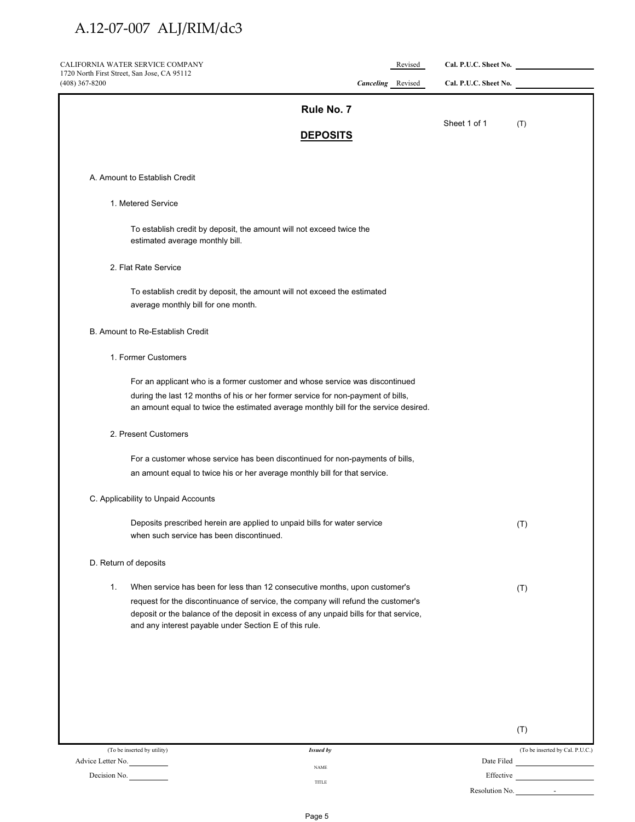| CALIFORNIA WATER SERVICE COMPANY<br>1720 North First Street, San Jose, CA 95112                                                                                          |                 | Revised                  | Cal. P.U.C. Sheet No. |     |
|--------------------------------------------------------------------------------------------------------------------------------------------------------------------------|-----------------|--------------------------|-----------------------|-----|
| $(408)$ 367-8200                                                                                                                                                         |                 | <b>Canceling</b> Revised | Cal. P.U.C. Sheet No. |     |
|                                                                                                                                                                          | Rule No. 7      |                          |                       |     |
|                                                                                                                                                                          | <b>DEPOSITS</b> |                          | Sheet 1 of 1          | (T) |
|                                                                                                                                                                          |                 |                          |                       |     |
| A. Amount to Establish Credit                                                                                                                                            |                 |                          |                       |     |
| 1. Metered Service                                                                                                                                                       |                 |                          |                       |     |
| To establish credit by deposit, the amount will not exceed twice the<br>estimated average monthly bill.                                                                  |                 |                          |                       |     |
| 2. Flat Rate Service                                                                                                                                                     |                 |                          |                       |     |
| To establish credit by deposit, the amount will not exceed the estimated<br>average monthly bill for one month.                                                          |                 |                          |                       |     |
| B. Amount to Re-Establish Credit                                                                                                                                         |                 |                          |                       |     |
| 1. Former Customers                                                                                                                                                      |                 |                          |                       |     |
| For an applicant who is a former customer and whose service was discontinued                                                                                             |                 |                          |                       |     |
| during the last 12 months of his or her former service for non-payment of bills,<br>an amount equal to twice the estimated average monthly bill for the service desired. |                 |                          |                       |     |
| 2. Present Customers                                                                                                                                                     |                 |                          |                       |     |
| For a customer whose service has been discontinued for non-payments of bills,                                                                                            |                 |                          |                       |     |
| an amount equal to twice his or her average monthly bill for that service.                                                                                               |                 |                          |                       |     |
| C. Applicability to Unpaid Accounts                                                                                                                                      |                 |                          |                       |     |
| Deposits prescribed herein are applied to unpaid bills for water service                                                                                                 |                 |                          |                       | (T) |
| when such service has been discontinued.                                                                                                                                 |                 |                          |                       |     |
| D. Return of deposits                                                                                                                                                    |                 |                          |                       |     |
| When service has been for less than 12 consecutive months, upon customer's<br>1.                                                                                         |                 |                          |                       | (T) |
| request for the discontinuance of service, the company will refund the customer's                                                                                        |                 |                          |                       |     |
| deposit or the balance of the deposit in excess of any unpaid bills for that service,<br>and any interest payable under Section E of this rule.                          |                 |                          |                       |     |
|                                                                                                                                                                          |                 |                          |                       |     |
|                                                                                                                                                                          |                 |                          |                       |     |
|                                                                                                                                                                          |                 |                          |                       |     |
|                                                                                                                                                                          |                 |                          |                       |     |
|                                                                                                                                                                          |                 |                          |                       | (T) |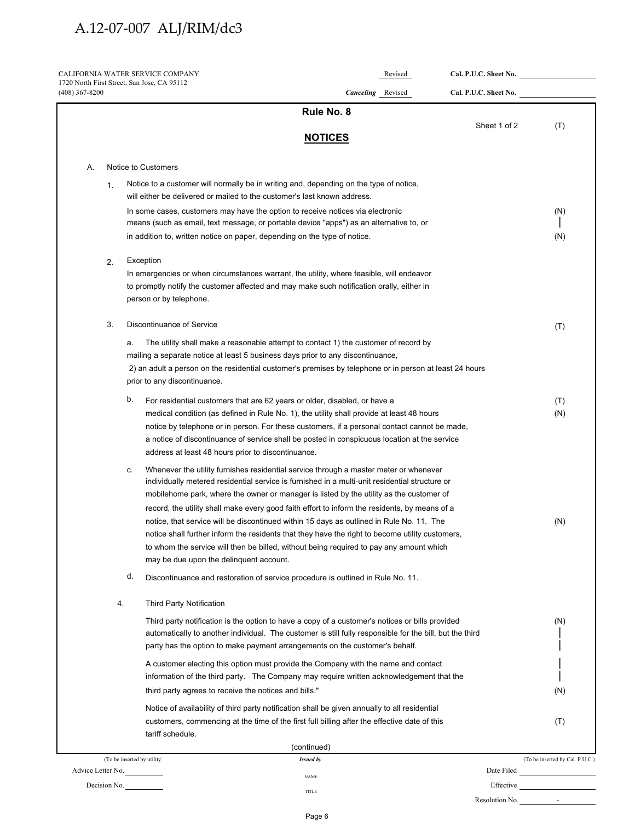|                  |    | CALIFORNIA WATER SERVICE COMPANY                                                                                                                                                              | Revised                  | Cal. P.U.C. Sheet No. |                                         |
|------------------|----|-----------------------------------------------------------------------------------------------------------------------------------------------------------------------------------------------|--------------------------|-----------------------|-----------------------------------------|
| $(408)$ 367-8200 |    | 1720 North First Street, San Jose, CA 95112                                                                                                                                                   | <b>Canceling</b> Revised | Cal. P.U.C. Sheet No. |                                         |
|                  |    | Rule No. 8                                                                                                                                                                                    |                          |                       |                                         |
|                  |    | <b>NOTICES</b>                                                                                                                                                                                |                          | Sheet 1 of 2          | (T)                                     |
|                  |    |                                                                                                                                                                                               |                          |                       |                                         |
| А.               |    | Notice to Customers                                                                                                                                                                           |                          |                       |                                         |
|                  | 1. | Notice to a customer will normally be in writing and, depending on the type of notice,                                                                                                        |                          |                       |                                         |
|                  |    | will either be delivered or mailed to the customer's last known address.                                                                                                                      |                          |                       |                                         |
|                  |    | In some cases, customers may have the option to receive notices via electronic                                                                                                                |                          |                       | (N)                                     |
|                  |    | means (such as email, text message, or portable device "apps") as an alternative to, or                                                                                                       |                          |                       |                                         |
|                  |    | in addition to, written notice on paper, depending on the type of notice.                                                                                                                     |                          |                       | (N)                                     |
|                  | 2. | Exception                                                                                                                                                                                     |                          |                       |                                         |
|                  |    | In emergencies or when circumstances warrant, the utility, where feasible, will endeavor                                                                                                      |                          |                       |                                         |
|                  |    | to promptly notify the customer affected and may make such notification orally, either in                                                                                                     |                          |                       |                                         |
|                  |    | person or by telephone.                                                                                                                                                                       |                          |                       |                                         |
|                  | 3. | Discontinuance of Service                                                                                                                                                                     |                          |                       | (T)                                     |
|                  |    | The utility shall make a reasonable attempt to contact 1) the customer of record by<br>a.                                                                                                     |                          |                       |                                         |
|                  |    | mailing a separate notice at least 5 business days prior to any discontinuance,                                                                                                               |                          |                       |                                         |
|                  |    | 2) an adult a person on the residential customer's premises by telephone or in person at least 24 hours                                                                                       |                          |                       |                                         |
|                  |    | prior to any discontinuance.                                                                                                                                                                  |                          |                       |                                         |
|                  |    | b.<br>For-residential customers that are 62 years or older, disabled, or have a                                                                                                               |                          |                       | (T)                                     |
|                  |    | medical condition (as defined in Rule No. 1), the utility shall provide at least 48 hours                                                                                                     |                          |                       | (N)                                     |
|                  |    | notice by telephone or in person. For these customers, if a personal contact cannot be made,                                                                                                  |                          |                       |                                         |
|                  |    | a notice of discontinuance of service shall be posted in conspicuous location at the service                                                                                                  |                          |                       |                                         |
|                  |    | address at least 48 hours prior to discontinuance.                                                                                                                                            |                          |                       |                                         |
|                  |    | Whenever the utility furnishes residential service through a master meter or whenever<br>c.<br>individually metered residential service is furnished in a multi-unit residential structure or |                          |                       |                                         |
|                  |    | mobilehome park, where the owner or manager is listed by the utility as the customer of                                                                                                       |                          |                       |                                         |
|                  |    | record, the utility shall make every good faith effort to inform the residents, by means of a                                                                                                 |                          |                       |                                         |
|                  |    | notice, that service will be discontinued within 15 days as outlined in Rule No. 11. The                                                                                                      |                          |                       | (N)                                     |
|                  |    | notice shall further inform the residents that they have the right to become utility customers,                                                                                               |                          |                       |                                         |
|                  |    | to whom the service will then be billed, without being required to pay any amount which                                                                                                       |                          |                       |                                         |
|                  |    | may be due upon the delinquent account.                                                                                                                                                       |                          |                       |                                         |
|                  |    | d.<br>Discontinuance and restoration of service procedure is outlined in Rule No. 11.                                                                                                         |                          |                       |                                         |
|                  | 4. | <b>Third Party Notification</b>                                                                                                                                                               |                          |                       |                                         |
|                  |    | Third party notification is the option to have a copy of a customer's notices or bills provided                                                                                               |                          |                       | (N)                                     |
|                  |    | automatically to another individual. The customer is still fully responsible for the bill, but the third                                                                                      |                          |                       |                                         |
|                  |    | party has the option to make payment arrangements on the customer's behalf.                                                                                                                   |                          |                       |                                         |
|                  |    | A customer electing this option must provide the Company with the name and contact                                                                                                            |                          |                       |                                         |
|                  |    | information of the third party. The Company may require written acknowledgement that the                                                                                                      |                          |                       |                                         |
|                  |    | third party agrees to receive the notices and bills."                                                                                                                                         |                          |                       | (N)                                     |
|                  |    | Notice of availability of third party notification shall be given annually to all residential                                                                                                 |                          |                       |                                         |
|                  |    | customers, commencing at the time of the first full billing after the effective date of this<br>tariff schedule.                                                                              |                          |                       | (T)                                     |
|                  |    | (continued)                                                                                                                                                                                   |                          |                       |                                         |
|                  |    | (To be inserted by utility)<br><b>Issued by</b>                                                                                                                                               |                          |                       | (To be inserted by Cal. P.U.C.)         |
|                  |    | Advice Letter No.<br><b>NAME</b>                                                                                                                                                              |                          | Date Filed            | <u> 1980 - Johann Barbara, martxa a</u> |
|                  |    | Decision No.<br>TITLE                                                                                                                                                                         |                          | Effective             |                                         |
|                  |    |                                                                                                                                                                                               |                          | Resolution No.        | $\sim 100$                              |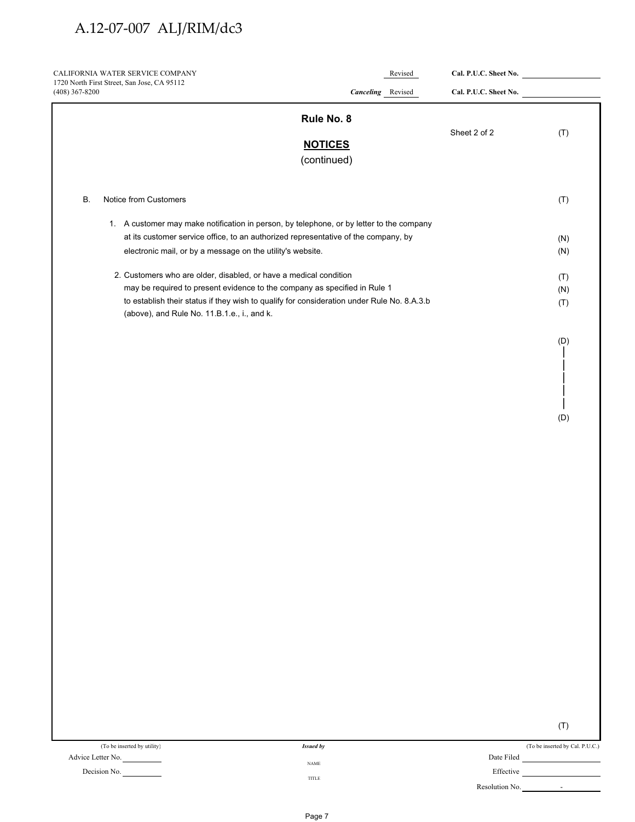| CALIFORNIA WATER SERVICE COMPANY<br>1720 North First Street, San Jose, CA 95112            | Revised                       | Cal. P.U.C. Sheet No. |     |
|--------------------------------------------------------------------------------------------|-------------------------------|-----------------------|-----|
| $(408)$ 367-8200                                                                           | <b>Canceling</b> Revised      | Cal. P.U.C. Sheet No. |     |
|                                                                                            | Rule No. 8                    |                       |     |
|                                                                                            |                               | Sheet 2 of 2          | (T) |
|                                                                                            | <b>NOTICES</b><br>(continued) |                       |     |
|                                                                                            |                               |                       |     |
| Notice from Customers<br>В.                                                                |                               |                       | (T) |
| 1. A customer may make notification in person, by telephone, or by letter to the company   |                               |                       |     |
| at its customer service office, to an authorized representative of the company, by         |                               |                       | (N) |
| electronic mail, or by a message on the utility's website.                                 |                               |                       | (N) |
| 2. Customers who are older, disabled, or have a medical condition                          |                               |                       | (T) |
| may be required to present evidence to the company as specified in Rule 1                  |                               |                       | (N) |
| to establish their status if they wish to qualify for consideration under Rule No. 8.A.3.b |                               |                       | (T) |
| (above), and Rule No. 11.B.1.e., i., and k.                                                |                               |                       |     |
|                                                                                            |                               |                       | (D) |
|                                                                                            |                               |                       |     |
|                                                                                            |                               |                       |     |
|                                                                                            |                               |                       |     |
|                                                                                            |                               |                       |     |
|                                                                                            |                               |                       | (D) |
|                                                                                            |                               |                       |     |
|                                                                                            |                               |                       |     |
|                                                                                            |                               |                       |     |
|                                                                                            |                               |                       |     |
|                                                                                            |                               |                       |     |
|                                                                                            |                               |                       |     |
|                                                                                            |                               |                       |     |
|                                                                                            |                               |                       |     |
|                                                                                            |                               |                       |     |
|                                                                                            |                               |                       |     |
|                                                                                            |                               |                       |     |
|                                                                                            |                               |                       |     |
|                                                                                            |                               |                       |     |
|                                                                                            |                               |                       |     |
|                                                                                            |                               |                       |     |
|                                                                                            |                               |                       |     |
|                                                                                            |                               |                       |     |
|                                                                                            |                               |                       |     |
|                                                                                            |                               |                       |     |
|                                                                                            |                               |                       |     |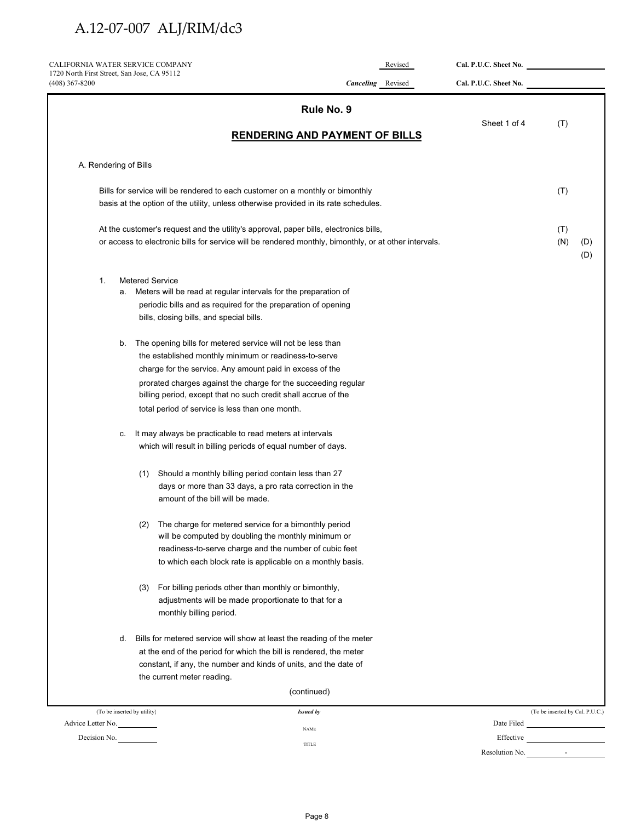| CALIFORNIA WATER SERVICE COMPANY                                |                                                                                                                                                                                                | Revised                  | Cal. P.U.C. Sheet No. |                                 |            |
|-----------------------------------------------------------------|------------------------------------------------------------------------------------------------------------------------------------------------------------------------------------------------|--------------------------|-----------------------|---------------------------------|------------|
| 1720 North First Street, San Jose, CA 95112<br>$(408)$ 367-8200 |                                                                                                                                                                                                | <b>Canceling</b> Revised | Cal. P.U.C. Sheet No. |                                 |            |
|                                                                 | Rule No. 9                                                                                                                                                                                     |                          |                       |                                 |            |
|                                                                 | <b>RENDERING AND PAYMENT OF BILLS</b>                                                                                                                                                          |                          | Sheet 1 of 4          | (T)                             |            |
| A. Rendering of Bills                                           |                                                                                                                                                                                                |                          |                       |                                 |            |
|                                                                 |                                                                                                                                                                                                |                          |                       |                                 |            |
|                                                                 | Bills for service will be rendered to each customer on a monthly or bimonthly<br>basis at the option of the utility, unless otherwise provided in its rate schedules.                          |                          |                       | (T)                             |            |
|                                                                 | At the customer's request and the utility's approval, paper bills, electronics bills,<br>or access to electronic bills for service will be rendered monthly, bimonthly, or at other intervals. |                          |                       | (T)<br>(N)                      | (D)<br>(D) |
| 1.                                                              | <b>Metered Service</b>                                                                                                                                                                         |                          |                       |                                 |            |
| а.                                                              | Meters will be read at regular intervals for the preparation of                                                                                                                                |                          |                       |                                 |            |
|                                                                 | periodic bills and as required for the preparation of opening                                                                                                                                  |                          |                       |                                 |            |
|                                                                 | bills, closing bills, and special bills.                                                                                                                                                       |                          |                       |                                 |            |
| b.                                                              | The opening bills for metered service will not be less than                                                                                                                                    |                          |                       |                                 |            |
|                                                                 | the established monthly minimum or readiness-to-serve                                                                                                                                          |                          |                       |                                 |            |
|                                                                 | charge for the service. Any amount paid in excess of the                                                                                                                                       |                          |                       |                                 |            |
|                                                                 | prorated charges against the charge for the succeeding regular<br>billing period, except that no such credit shall accrue of the                                                               |                          |                       |                                 |            |
|                                                                 | total period of service is less than one month.                                                                                                                                                |                          |                       |                                 |            |
| с.                                                              | It may always be practicable to read meters at intervals                                                                                                                                       |                          |                       |                                 |            |
|                                                                 | which will result in billing periods of equal number of days.                                                                                                                                  |                          |                       |                                 |            |
|                                                                 | (1) Should a monthly billing period contain less than 27                                                                                                                                       |                          |                       |                                 |            |
|                                                                 | days or more than 33 days, a pro rata correction in the                                                                                                                                        |                          |                       |                                 |            |
|                                                                 | amount of the bill will be made.                                                                                                                                                               |                          |                       |                                 |            |
|                                                                 | The charge for metered service for a bimonthly period<br>(2)<br>will be computed by doubling the monthly minimum or                                                                            |                          |                       |                                 |            |
|                                                                 | readiness-to-serve charge and the number of cubic feet                                                                                                                                         |                          |                       |                                 |            |
|                                                                 | to which each block rate is applicable on a monthly basis.                                                                                                                                     |                          |                       |                                 |            |
|                                                                 | For billing periods other than monthly or bimonthly,<br>(3)                                                                                                                                    |                          |                       |                                 |            |
|                                                                 | adjustments will be made proportionate to that for a                                                                                                                                           |                          |                       |                                 |            |
|                                                                 | monthly billing period.                                                                                                                                                                        |                          |                       |                                 |            |
| d.                                                              | Bills for metered service will show at least the reading of the meter                                                                                                                          |                          |                       |                                 |            |
|                                                                 | at the end of the period for which the bill is rendered, the meter                                                                                                                             |                          |                       |                                 |            |
|                                                                 | constant, if any, the number and kinds of units, and the date of                                                                                                                               |                          |                       |                                 |            |
|                                                                 | the current meter reading.                                                                                                                                                                     |                          |                       |                                 |            |
|                                                                 | (continued)                                                                                                                                                                                    |                          |                       |                                 |            |
| (To be inserted by utility)                                     | <b>Issued by</b>                                                                                                                                                                               |                          |                       | (To be inserted by Cal. P.U.C.) |            |
| Advice Letter No.                                               | <b>NAME</b>                                                                                                                                                                                    |                          | Date Filed            |                                 |            |
| Decision No.                                                    | TITLE                                                                                                                                                                                          |                          | Effective             |                                 |            |
|                                                                 |                                                                                                                                                                                                |                          | Resolution No.        |                                 |            |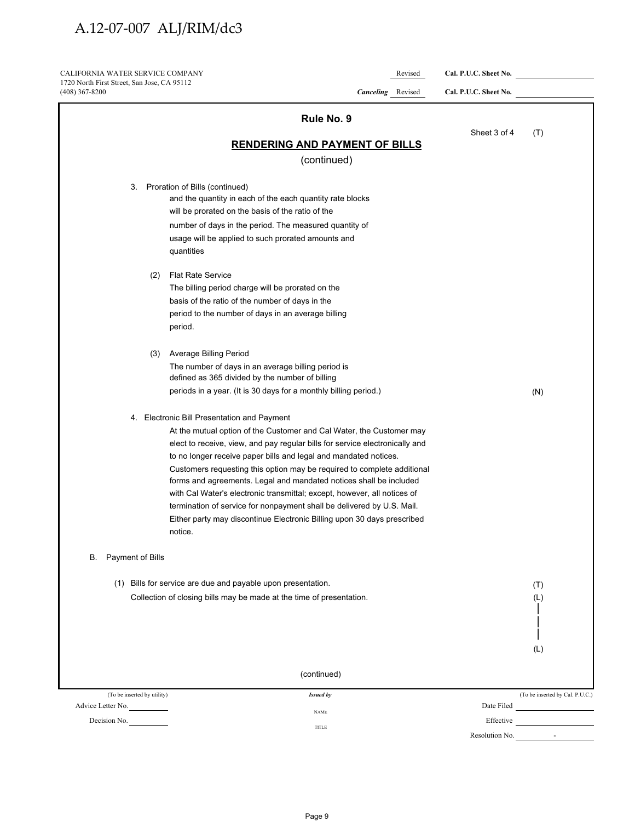CALIFORNIA WATER SERVICE COMPANY Revised **Cal. P.U.C. Sheet No.**  1720 North First Street, San Jose, CA 95112

| $(408)$ 367-8200            | <b>Canceling</b> Revised                                                                                                                      | Cal. P.U.C. Sheet No. |                                 |
|-----------------------------|-----------------------------------------------------------------------------------------------------------------------------------------------|-----------------------|---------------------------------|
|                             | Rule No. 9                                                                                                                                    |                       |                                 |
|                             |                                                                                                                                               | Sheet 3 of 4          | (T)                             |
|                             | <b>RENDERING AND PAYMENT OF BILLS</b>                                                                                                         |                       |                                 |
|                             | (continued)                                                                                                                                   |                       |                                 |
| 3.                          | Proration of Bills (continued)                                                                                                                |                       |                                 |
|                             | and the quantity in each of the each quantity rate blocks                                                                                     |                       |                                 |
|                             | will be prorated on the basis of the ratio of the                                                                                             |                       |                                 |
|                             | number of days in the period. The measured quantity of                                                                                        |                       |                                 |
|                             | usage will be applied to such prorated amounts and                                                                                            |                       |                                 |
|                             | quantities                                                                                                                                    |                       |                                 |
| (2)                         | <b>Flat Rate Service</b>                                                                                                                      |                       |                                 |
|                             | The billing period charge will be prorated on the                                                                                             |                       |                                 |
|                             | basis of the ratio of the number of days in the                                                                                               |                       |                                 |
|                             | period to the number of days in an average billing                                                                                            |                       |                                 |
|                             | period.                                                                                                                                       |                       |                                 |
| (3)                         | <b>Average Billing Period</b>                                                                                                                 |                       |                                 |
|                             | The number of days in an average billing period is                                                                                            |                       |                                 |
|                             | defined as 365 divided by the number of billing                                                                                               |                       |                                 |
|                             | periods in a year. (It is 30 days for a monthly billing period.)                                                                              |                       | (N)                             |
|                             | 4. Electronic Bill Presentation and Payment                                                                                                   |                       |                                 |
|                             | At the mutual option of the Customer and Cal Water, the Customer may                                                                          |                       |                                 |
|                             | elect to receive, view, and pay regular bills for service electronically and                                                                  |                       |                                 |
|                             | to no longer receive paper bills and legal and mandated notices.                                                                              |                       |                                 |
|                             | Customers requesting this option may be required to complete additional<br>forms and agreements. Legal and mandated notices shall be included |                       |                                 |
|                             | with Cal Water's electronic transmittal; except, however, all notices of                                                                      |                       |                                 |
|                             | termination of service for nonpayment shall be delivered by U.S. Mail.                                                                        |                       |                                 |
|                             | Either party may discontinue Electronic Billing upon 30 days prescribed<br>notice.                                                            |                       |                                 |
| B. Payment of Bills         |                                                                                                                                               |                       |                                 |
|                             | (1) Bills for service are due and payable upon presentation.                                                                                  |                       | (T)                             |
|                             | Collection of closing bills may be made at the time of presentation.                                                                          |                       | (L)                             |
|                             |                                                                                                                                               |                       |                                 |
|                             |                                                                                                                                               |                       |                                 |
|                             |                                                                                                                                               |                       |                                 |
|                             |                                                                                                                                               |                       | (L)                             |
|                             | (continued)                                                                                                                                   |                       |                                 |
| (To be inserted by utility) | <b>Issued by</b>                                                                                                                              |                       | (To be inserted by Cal. P.U.C.) |
| Advice Letter No.           | <b>NAME</b>                                                                                                                                   | Date Filed            |                                 |
| Decision No.                |                                                                                                                                               |                       | Effective <u>contracts</u>      |
|                             | TITLE                                                                                                                                         | Resolution No.        | $\sim 10^{-1}$                  |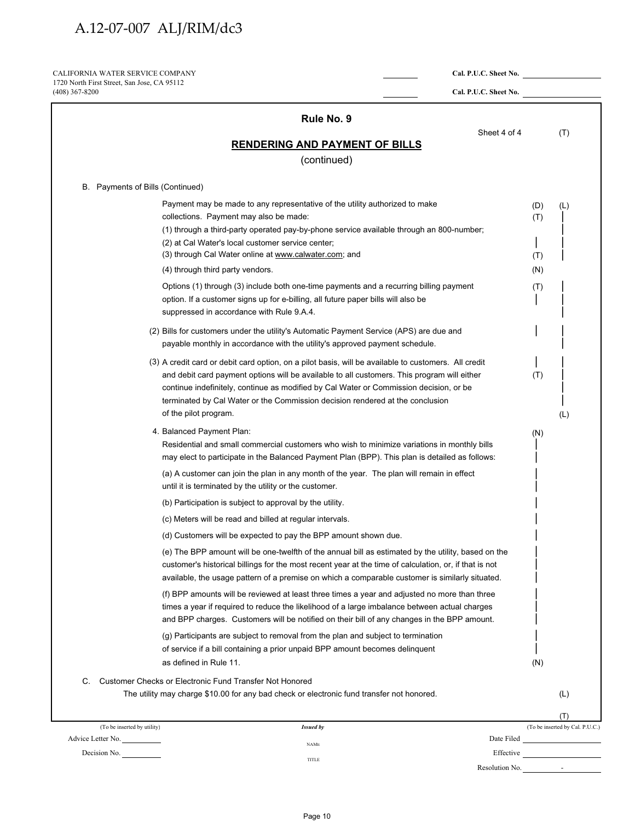CALIFORNIA WATER SERVICE COMPANY **Cal. P.U.C. Sheet No.**  1720 North First Street, San Jose, CA 95112

| $(408)$ 367-8200                                                                                                                                                                                                                                                                                                                                                                                                                                                                                                  | Cal. P.U.C. Sheet No. |                          |                                 |
|-------------------------------------------------------------------------------------------------------------------------------------------------------------------------------------------------------------------------------------------------------------------------------------------------------------------------------------------------------------------------------------------------------------------------------------------------------------------------------------------------------------------|-----------------------|--------------------------|---------------------------------|
| Rule No. 9                                                                                                                                                                                                                                                                                                                                                                                                                                                                                                        |                       |                          |                                 |
| <b>RENDERING AND PAYMENT OF BILLS</b>                                                                                                                                                                                                                                                                                                                                                                                                                                                                             | Sheet 4 of 4          |                          | (T)                             |
| (continued)                                                                                                                                                                                                                                                                                                                                                                                                                                                                                                       |                       |                          |                                 |
|                                                                                                                                                                                                                                                                                                                                                                                                                                                                                                                   |                       |                          |                                 |
| B. Payments of Bills (Continued)                                                                                                                                                                                                                                                                                                                                                                                                                                                                                  |                       |                          |                                 |
| Payment may be made to any representative of the utility authorized to make<br>collections. Payment may also be made:<br>(1) through a third-party operated pay-by-phone service available through an 800-number;<br>(2) at Cal Water's local customer service center;<br>(3) through Cal Water online at www.calwater.com; and<br>(4) through third party vendors.                                                                                                                                               |                       | (D)<br>(T)<br>(T)<br>(N) | (L)                             |
| Options (1) through (3) include both one-time payments and a recurring billing payment<br>option. If a customer signs up for e-billing, all future paper bills will also be<br>suppressed in accordance with Rule 9.A.4.                                                                                                                                                                                                                                                                                          |                       | (T)                      |                                 |
| (2) Bills for customers under the utility's Automatic Payment Service (APS) are due and<br>payable monthly in accordance with the utility's approved payment schedule.                                                                                                                                                                                                                                                                                                                                            |                       |                          |                                 |
| (3) A credit card or debit card option, on a pilot basis, will be available to customers. All credit<br>and debit card payment options will be available to all customers. This program will either<br>continue indefinitely, continue as modified by Cal Water or Commission decision, or be<br>terminated by Cal Water or the Commission decision rendered at the conclusion<br>of the pilot program.                                                                                                           |                       | (T)                      | (L)                             |
| 4. Balanced Payment Plan:<br>Residential and small commercial customers who wish to minimize variations in monthly bills<br>may elect to participate in the Balanced Payment Plan (BPP). This plan is detailed as follows:                                                                                                                                                                                                                                                                                        |                       | (N)                      |                                 |
| (a) A customer can join the plan in any month of the year. The plan will remain in effect<br>until it is terminated by the utility or the customer.                                                                                                                                                                                                                                                                                                                                                               |                       |                          |                                 |
| (b) Participation is subject to approval by the utility.                                                                                                                                                                                                                                                                                                                                                                                                                                                          |                       |                          |                                 |
| (c) Meters will be read and billed at regular intervals.                                                                                                                                                                                                                                                                                                                                                                                                                                                          |                       |                          |                                 |
| (d) Customers will be expected to pay the BPP amount shown due.                                                                                                                                                                                                                                                                                                                                                                                                                                                   |                       |                          |                                 |
| (e) The BPP amount will be one-twelfth of the annual bill as estimated by the utility, based on the<br>customer's historical billings for the most recent year at the time of calculation, or, if that is not<br>available, the usage pattern of a premise on which a comparable customer is similarly situated.<br>(f) BPP amounts will be reviewed at least three times a year and adjusted no more than three<br>times a year if required to reduce the likelihood of a large imbalance between actual charges |                       |                          |                                 |
| and BPP charges. Customers will be notified on their bill of any changes in the BPP amount.<br>(g) Participants are subject to removal from the plan and subject to termination<br>of service if a bill containing a prior unpaid BPP amount becomes delinquent<br>as defined in Rule 11.                                                                                                                                                                                                                         |                       | (N)                      |                                 |
|                                                                                                                                                                                                                                                                                                                                                                                                                                                                                                                   |                       |                          |                                 |
| C.<br>Customer Checks or Electronic Fund Transfer Not Honored<br>The utility may charge \$10.00 for any bad check or electronic fund transfer not honored.                                                                                                                                                                                                                                                                                                                                                        |                       |                          | (L)                             |
|                                                                                                                                                                                                                                                                                                                                                                                                                                                                                                                   |                       |                          |                                 |
|                                                                                                                                                                                                                                                                                                                                                                                                                                                                                                                   |                       |                          | (T)                             |
| (To be inserted by utility)<br><b>Issued by</b>                                                                                                                                                                                                                                                                                                                                                                                                                                                                   |                       |                          |                                 |
| Advice Letter No.<br><b>NAME</b><br>Decision No.<br>TITLE                                                                                                                                                                                                                                                                                                                                                                                                                                                         |                       |                          | (To be inserted by Cal. P.U.C.) |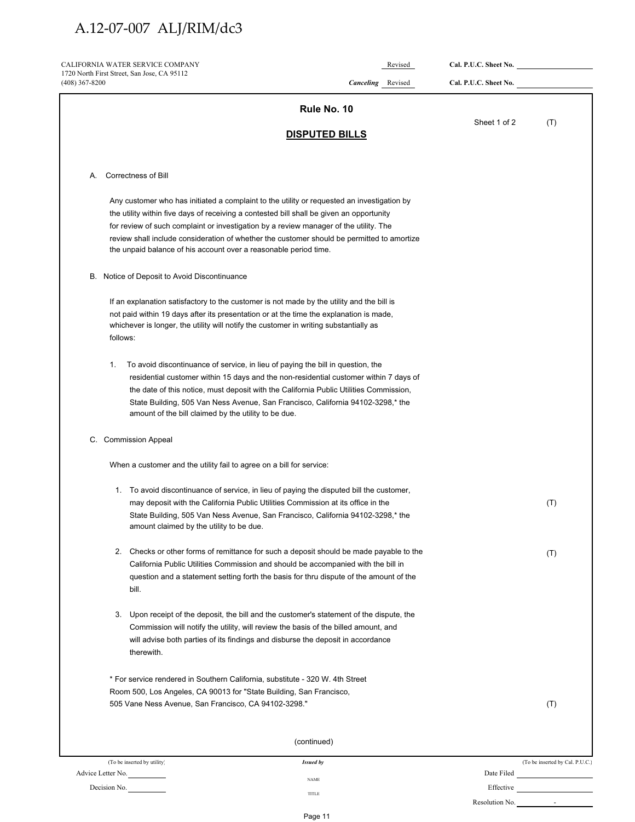| CALIFORNIA WATER SERVICE COMPANY                                                                                            | Revised                                                                                                                                                                                                                                                                                                                                               | Cal. P.U.C. Sheet No. |                                 |
|-----------------------------------------------------------------------------------------------------------------------------|-------------------------------------------------------------------------------------------------------------------------------------------------------------------------------------------------------------------------------------------------------------------------------------------------------------------------------------------------------|-----------------------|---------------------------------|
| 1720 North First Street, San Jose, CA 95112<br>$(408)$ 367-8200                                                             | <b>Canceling</b> Revised                                                                                                                                                                                                                                                                                                                              | Cal. P.U.C. Sheet No. |                                 |
|                                                                                                                             | Rule No. 10                                                                                                                                                                                                                                                                                                                                           |                       |                                 |
|                                                                                                                             |                                                                                                                                                                                                                                                                                                                                                       | Sheet 1 of 2          | (T)                             |
|                                                                                                                             | <b>DISPUTED BILLS</b>                                                                                                                                                                                                                                                                                                                                 |                       |                                 |
| <b>Correctness of Bill</b><br>А.                                                                                            |                                                                                                                                                                                                                                                                                                                                                       |                       |                                 |
|                                                                                                                             | Any customer who has initiated a complaint to the utility or requested an investigation by<br>the utility within five days of receiving a contested bill shall be given an opportunity                                                                                                                                                                |                       |                                 |
| the unpaid balance of his account over a reasonable period time.                                                            | for review of such complaint or investigation by a review manager of the utility. The<br>review shall include consideration of whether the customer should be permitted to amortize                                                                                                                                                                   |                       |                                 |
| B. Notice of Deposit to Avoid Discontinuance                                                                                |                                                                                                                                                                                                                                                                                                                                                       |                       |                                 |
| follows:                                                                                                                    | If an explanation satisfactory to the customer is not made by the utility and the bill is<br>not paid within 19 days after its presentation or at the time the explanation is made,<br>whichever is longer, the utility will notify the customer in writing substantially as                                                                          |                       |                                 |
| 1.<br>amount of the bill claimed by the utility to be due.                                                                  | To avoid discontinuance of service, in lieu of paying the bill in question, the<br>residential customer within 15 days and the non-residential customer within 7 days of<br>the date of this notice, must deposit with the California Public Utilities Commission,<br>State Building, 505 Van Ness Avenue, San Francisco, California 94102-3298,* the |                       |                                 |
| <b>Commission Appeal</b><br>C.                                                                                              |                                                                                                                                                                                                                                                                                                                                                       |                       |                                 |
| When a customer and the utility fail to agree on a bill for service:                                                        |                                                                                                                                                                                                                                                                                                                                                       |                       |                                 |
| amount claimed by the utility to be due.                                                                                    | 1. To avoid discontinuance of service, in lieu of paying the disputed bill the customer,<br>may deposit with the California Public Utilities Commission at its office in the<br>State Building, 505 Van Ness Avenue, San Francisco, California 94102-3298,* the                                                                                       |                       | (T)                             |
|                                                                                                                             | 2. Checks or other forms of remittance for such a deposit should be made payable to the                                                                                                                                                                                                                                                               |                       | (T)                             |
| bill.                                                                                                                       | California Public Utilities Commission and should be accompanied with the bill in<br>question and a statement setting forth the basis for thru dispute of the amount of the                                                                                                                                                                           |                       |                                 |
| 3.                                                                                                                          | Upon receipt of the deposit, the bill and the customer's statement of the dispute, the<br>Commission will notify the utility, will review the basis of the billed amount, and                                                                                                                                                                         |                       |                                 |
| therewith.                                                                                                                  | will advise both parties of its findings and disburse the deposit in accordance                                                                                                                                                                                                                                                                       |                       |                                 |
|                                                                                                                             | * For service rendered in Southern California, substitute - 320 W. 4th Street                                                                                                                                                                                                                                                                         |                       |                                 |
| Room 500, Los Angeles, CA 90013 for "State Building, San Francisco,<br>505 Vane Ness Avenue, San Francisco, CA 94102-3298." |                                                                                                                                                                                                                                                                                                                                                       |                       | (T)                             |
|                                                                                                                             | (continued)                                                                                                                                                                                                                                                                                                                                           |                       |                                 |
| (To be inserted by utility)                                                                                                 | <b>Issued by</b>                                                                                                                                                                                                                                                                                                                                      |                       | (To be inserted by Cal. P.U.C.) |
| Advice Letter No.                                                                                                           | <b>NAME</b>                                                                                                                                                                                                                                                                                                                                           |                       | Date Filed                      |
| Decision No.                                                                                                                | TITLE                                                                                                                                                                                                                                                                                                                                                 | Effective             |                                 |

Resolution No. -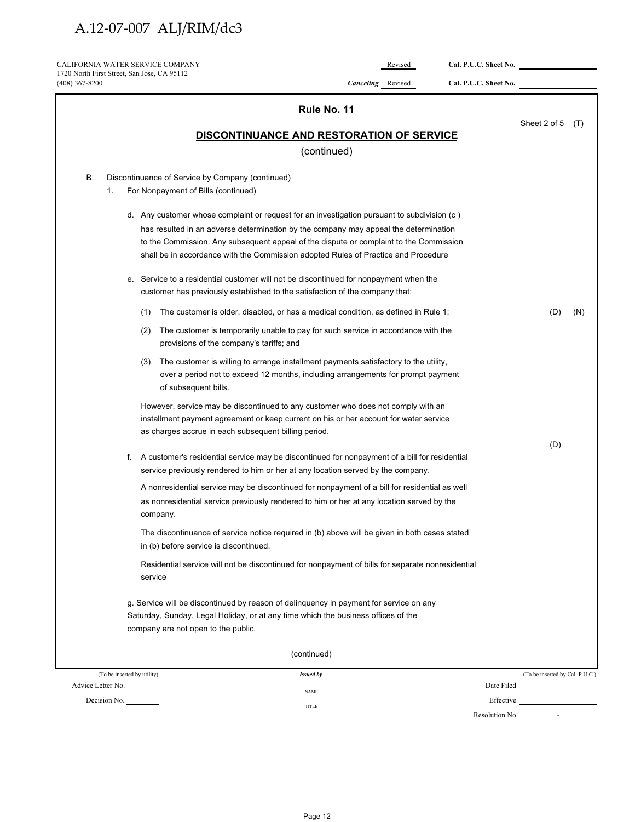| CALIFORNIA WATER SERVICE COMPANY                                |     |                                                                                                                                                                                      | Revised                  | Cal. P.U.C. Sheet No. |                                 |     |
|-----------------------------------------------------------------|-----|--------------------------------------------------------------------------------------------------------------------------------------------------------------------------------------|--------------------------|-----------------------|---------------------------------|-----|
| 1720 North First Street, San Jose, CA 95112<br>$(408)$ 367-8200 |     |                                                                                                                                                                                      | <b>Canceling</b> Revised | Cal. P.U.C. Sheet No. |                                 |     |
|                                                                 |     | Rule No. 11                                                                                                                                                                          |                          |                       |                                 |     |
|                                                                 |     |                                                                                                                                                                                      |                          |                       | Sheet 2 of 5                    | (T) |
|                                                                 |     | <b>DISCONTINUANCE AND RESTORATION OF SERVICE</b><br>(continued)                                                                                                                      |                          |                       |                                 |     |
|                                                                 |     |                                                                                                                                                                                      |                          |                       |                                 |     |
| В.<br>1.                                                        |     | Discontinuance of Service by Company (continued)<br>For Nonpayment of Bills (continued)                                                                                              |                          |                       |                                 |     |
|                                                                 |     | d. Any customer whose complaint or request for an investigation pursuant to subdivision (c)                                                                                          |                          |                       |                                 |     |
|                                                                 |     | has resulted in an adverse determination by the company may appeal the determination                                                                                                 |                          |                       |                                 |     |
|                                                                 |     | to the Commission. Any subsequent appeal of the dispute or complaint to the Commission                                                                                               |                          |                       |                                 |     |
|                                                                 |     | shall be in accordance with the Commission adopted Rules of Practice and Procedure                                                                                                   |                          |                       |                                 |     |
|                                                                 |     | e. Service to a residential customer will not be discontinued for nonpayment when the                                                                                                |                          |                       |                                 |     |
|                                                                 |     | customer has previously established to the satisfaction of the company that:                                                                                                         |                          |                       |                                 |     |
|                                                                 | (1) | The customer is older, disabled, or has a medical condition, as defined in Rule 1;                                                                                                   |                          |                       | (D)                             | (N) |
|                                                                 | (2) | The customer is temporarily unable to pay for such service in accordance with the<br>provisions of the company's tariffs; and                                                        |                          |                       |                                 |     |
|                                                                 | (3) | The customer is willing to arrange installment payments satisfactory to the utility,                                                                                                 |                          |                       |                                 |     |
|                                                                 |     | over a period not to exceed 12 months, including arrangements for prompt payment<br>of subsequent bills.                                                                             |                          |                       |                                 |     |
|                                                                 |     | However, service may be discontinued to any customer who does not comply with an                                                                                                     |                          |                       |                                 |     |
|                                                                 |     | installment payment agreement or keep current on his or her account for water service<br>as charges accrue in each subsequent billing period.                                        |                          |                       |                                 |     |
|                                                                 |     |                                                                                                                                                                                      |                          |                       | (D)                             |     |
|                                                                 |     | f. A customer's residential service may be discontinued for nonpayment of a bill for residential<br>service previously rendered to him or her at any location served by the company. |                          |                       |                                 |     |
|                                                                 |     | A nonresidential service may be discontinued for nonpayment of a bill for residential as well                                                                                        |                          |                       |                                 |     |
|                                                                 |     | as nonresidential service previously rendered to him or her at any location served by the<br>company.                                                                                |                          |                       |                                 |     |
|                                                                 |     | The discontinuance of service notice required in (b) above will be given in both cases stated                                                                                        |                          |                       |                                 |     |
|                                                                 |     | in (b) before service is discontinued.                                                                                                                                               |                          |                       |                                 |     |
|                                                                 |     | Residential service will not be discontinued for nonpayment of bills for separate nonresidential<br>service                                                                          |                          |                       |                                 |     |
|                                                                 |     | g. Service will be discontinued by reason of delinguency in payment for service on any                                                                                               |                          |                       |                                 |     |
|                                                                 |     | Saturday, Sunday, Legal Holiday, or at any time which the business offices of the                                                                                                    |                          |                       |                                 |     |
|                                                                 |     | company are not open to the public.                                                                                                                                                  |                          |                       |                                 |     |
|                                                                 |     | (continued)                                                                                                                                                                          |                          |                       |                                 |     |
| (To be inserted by utility)                                     |     | <b>Issued by</b>                                                                                                                                                                     |                          |                       | (To be inserted by Cal. P.U.C.) |     |
| Advice Letter No.                                               |     | <b>NAME</b>                                                                                                                                                                          |                          |                       |                                 |     |
| Decision No.                                                    |     | TITLE                                                                                                                                                                                |                          |                       |                                 |     |
|                                                                 |     |                                                                                                                                                                                      |                          |                       | Resolution No.                  |     |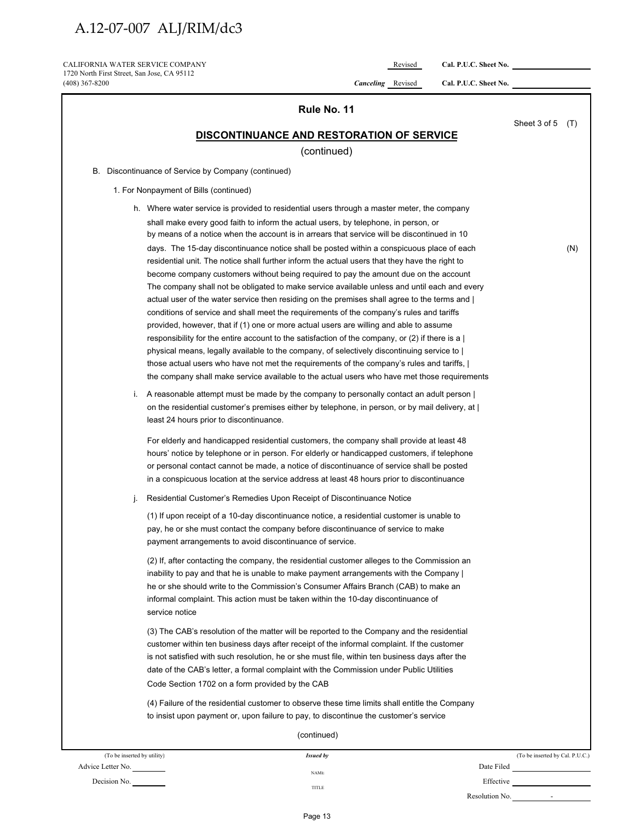CALIFORNIA WATER SERVICE COMPANY Revised **Cal. P.U.C. Sheet No.** 1720 North First Street, San Jose, CA 95112

(408) 367-8200 *Canceling* Revised **Cal. P.U.C. Sheet No.** 

|                             | Rule No. 11                                                                                                                                                                                                                                                                                                                                                                                                                                                                                                                                                                                                                                                                                                                                                                                                                                                                                                                                                                                                                                                                                                                                                                                                                                                                                                               |                                 |     |
|-----------------------------|---------------------------------------------------------------------------------------------------------------------------------------------------------------------------------------------------------------------------------------------------------------------------------------------------------------------------------------------------------------------------------------------------------------------------------------------------------------------------------------------------------------------------------------------------------------------------------------------------------------------------------------------------------------------------------------------------------------------------------------------------------------------------------------------------------------------------------------------------------------------------------------------------------------------------------------------------------------------------------------------------------------------------------------------------------------------------------------------------------------------------------------------------------------------------------------------------------------------------------------------------------------------------------------------------------------------------|---------------------------------|-----|
|                             | <b>DISCONTINUANCE AND RESTORATION OF SERVICE</b><br>(continued)                                                                                                                                                                                                                                                                                                                                                                                                                                                                                                                                                                                                                                                                                                                                                                                                                                                                                                                                                                                                                                                                                                                                                                                                                                                           | Sheet 3 of 5                    | (T) |
|                             | B. Discontinuance of Service by Company (continued)                                                                                                                                                                                                                                                                                                                                                                                                                                                                                                                                                                                                                                                                                                                                                                                                                                                                                                                                                                                                                                                                                                                                                                                                                                                                       |                                 |     |
|                             | 1. For Nonpayment of Bills (continued)                                                                                                                                                                                                                                                                                                                                                                                                                                                                                                                                                                                                                                                                                                                                                                                                                                                                                                                                                                                                                                                                                                                                                                                                                                                                                    |                                 |     |
|                             | h. Where water service is provided to residential users through a master meter, the company                                                                                                                                                                                                                                                                                                                                                                                                                                                                                                                                                                                                                                                                                                                                                                                                                                                                                                                                                                                                                                                                                                                                                                                                                               |                                 |     |
|                             | shall make every good faith to inform the actual users, by telephone, in person, or<br>by means of a notice when the account is in arrears that service will be discontinued in 10                                                                                                                                                                                                                                                                                                                                                                                                                                                                                                                                                                                                                                                                                                                                                                                                                                                                                                                                                                                                                                                                                                                                        |                                 |     |
|                             | days. The 15-day discontinuance notice shall be posted within a conspicuous place of each<br>residential unit. The notice shall further inform the actual users that they have the right to<br>become company customers without being required to pay the amount due on the account<br>The company shall not be obligated to make service available unless and until each and every<br>actual user of the water service then residing on the premises shall agree to the terms and<br>conditions of service and shall meet the requirements of the company's rules and tariffs<br>provided, however, that if (1) one or more actual users are willing and able to assume<br>responsibility for the entire account to the satisfaction of the company, or (2) if there is a $\vert$<br>physical means, legally available to the company, of selectively discontinuing service to<br>those actual users who have not met the requirements of the company's rules and tariffs,  <br>the company shall make service available to the actual users who have met those requirements<br>i. A reasonable attempt must be made by the company to personally contact an adult person<br>on the residential customer's premises either by telephone, in person, or by mail delivery, at  <br>least 24 hours prior to discontinuance. |                                 | (N) |
| $\mathbf{I}$                | For elderly and handicapped residential customers, the company shall provide at least 48<br>hours' notice by telephone or in person. For elderly or handicapped customers, if telephone<br>or personal contact cannot be made, a notice of discontinuance of service shall be posted<br>in a conspicuous location at the service address at least 48 hours prior to discontinuance<br>Residential Customer's Remedies Upon Receipt of Discontinuance Notice                                                                                                                                                                                                                                                                                                                                                                                                                                                                                                                                                                                                                                                                                                                                                                                                                                                               |                                 |     |
|                             | (1) If upon receipt of a 10-day discontinuance notice, a residential customer is unable to<br>pay, he or she must contact the company before discontinuance of service to make<br>payment arrangements to avoid discontinuance of service.<br>(2) If, after contacting the company, the residential customer alleges to the Commission an<br>inability to pay and that he is unable to make payment arrangements with the Company<br>he or she should write to the Commission's Consumer Affairs Branch (CAB) to make an<br>informal complaint. This action must be taken within the 10-day discontinuance of                                                                                                                                                                                                                                                                                                                                                                                                                                                                                                                                                                                                                                                                                                             |                                 |     |
|                             | service notice<br>(3) The CAB's resolution of the matter will be reported to the Company and the residential<br>customer within ten business days after receipt of the informal complaint. If the customer<br>is not satisfied with such resolution, he or she must file, within ten business days after the<br>date of the CAB's letter, a formal complaint with the Commission under Public Utilities<br>Code Section 1702 on a form provided by the CAB                                                                                                                                                                                                                                                                                                                                                                                                                                                                                                                                                                                                                                                                                                                                                                                                                                                                |                                 |     |
|                             | (4) Failure of the residential customer to observe these time limits shall entitle the Company<br>to insist upon payment or, upon failure to pay, to discontinue the customer's service<br>(continued)                                                                                                                                                                                                                                                                                                                                                                                                                                                                                                                                                                                                                                                                                                                                                                                                                                                                                                                                                                                                                                                                                                                    |                                 |     |
| (To be inserted by utility) | <b>Issued by</b>                                                                                                                                                                                                                                                                                                                                                                                                                                                                                                                                                                                                                                                                                                                                                                                                                                                                                                                                                                                                                                                                                                                                                                                                                                                                                                          | (To be inserted by Cal. P.U.C.) |     |
| Advice Letter No.           | <b>NAME</b>                                                                                                                                                                                                                                                                                                                                                                                                                                                                                                                                                                                                                                                                                                                                                                                                                                                                                                                                                                                                                                                                                                                                                                                                                                                                                                               | Date Filed                      |     |

Resolution No. -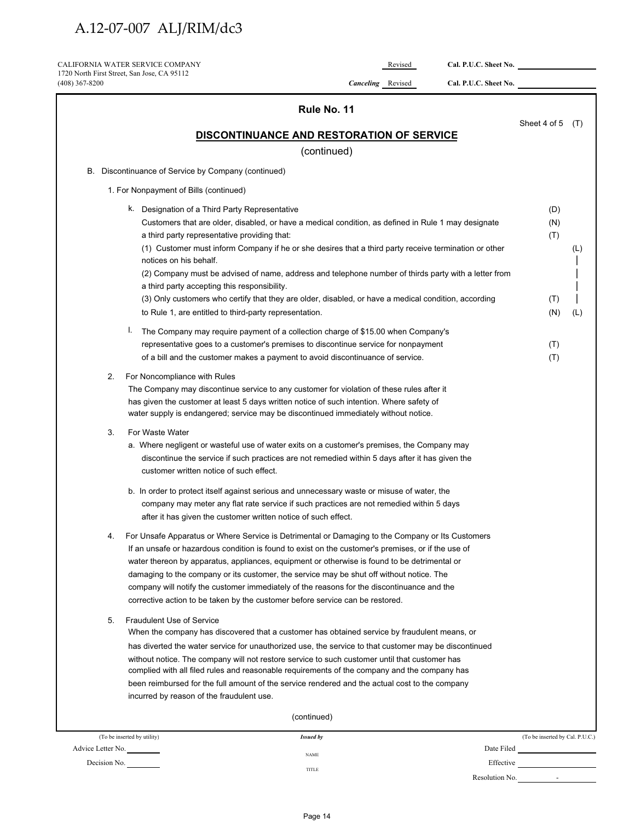| $(408)$ 367-8200 | 1720 North First Street, San Jose, CA 95112                                                                                                                                                                                                                                                                                                                                                                                                                                                                                                                                       | Canceling Revised | Cal. P.U.C. Sheet No. |                                 |     |
|------------------|-----------------------------------------------------------------------------------------------------------------------------------------------------------------------------------------------------------------------------------------------------------------------------------------------------------------------------------------------------------------------------------------------------------------------------------------------------------------------------------------------------------------------------------------------------------------------------------|-------------------|-----------------------|---------------------------------|-----|
|                  |                                                                                                                                                                                                                                                                                                                                                                                                                                                                                                                                                                                   |                   |                       |                                 |     |
|                  |                                                                                                                                                                                                                                                                                                                                                                                                                                                                                                                                                                                   | Rule No. 11       |                       |                                 |     |
|                  | DISCONTINUANCE AND RESTORATION OF SERVICE                                                                                                                                                                                                                                                                                                                                                                                                                                                                                                                                         |                   |                       | Sheet 4 of 5                    | (T) |
|                  |                                                                                                                                                                                                                                                                                                                                                                                                                                                                                                                                                                                   | (continued)       |                       |                                 |     |
|                  | B. Discontinuance of Service by Company (continued)                                                                                                                                                                                                                                                                                                                                                                                                                                                                                                                               |                   |                       |                                 |     |
|                  | 1. For Nonpayment of Bills (continued)                                                                                                                                                                                                                                                                                                                                                                                                                                                                                                                                            |                   |                       |                                 |     |
|                  | k. Designation of a Third Party Representative                                                                                                                                                                                                                                                                                                                                                                                                                                                                                                                                    |                   |                       | (D)                             |     |
|                  | Customers that are older, disabled, or have a medical condition, as defined in Rule 1 may designate<br>a third party representative providing that:<br>(1) Customer must inform Company if he or she desires that a third party receive termination or other<br>notices on his behalf.                                                                                                                                                                                                                                                                                            |                   |                       | (N)<br>(T)                      | (L) |
|                  | (2) Company must be advised of name, address and telephone number of thirds party with a letter from                                                                                                                                                                                                                                                                                                                                                                                                                                                                              |                   |                       |                                 |     |
|                  | a third party accepting this responsibility.<br>(3) Only customers who certify that they are older, disabled, or have a medical condition, according                                                                                                                                                                                                                                                                                                                                                                                                                              |                   |                       | (T)                             |     |
|                  | to Rule 1, are entitled to third-party representation.                                                                                                                                                                                                                                                                                                                                                                                                                                                                                                                            |                   |                       | (N)                             | (L) |
|                  | I.<br>The Company may require payment of a collection charge of \$15.00 when Company's                                                                                                                                                                                                                                                                                                                                                                                                                                                                                            |                   |                       |                                 |     |
|                  | representative goes to a customer's premises to discontinue service for nonpayment                                                                                                                                                                                                                                                                                                                                                                                                                                                                                                |                   |                       | (T)                             |     |
|                  | of a bill and the customer makes a payment to avoid discontinuance of service.                                                                                                                                                                                                                                                                                                                                                                                                                                                                                                    |                   |                       | (T)                             |     |
| 3.               | The Company may discontinue service to any customer for violation of these rules after it<br>has given the customer at least 5 days written notice of such intention. Where safety of<br>water supply is endangered; service may be discontinued immediately without notice.<br>For Waste Water                                                                                                                                                                                                                                                                                   |                   |                       |                                 |     |
|                  | a. Where negligent or wasteful use of water exits on a customer's premises, the Company may<br>discontinue the service if such practices are not remedied within 5 days after it has given the<br>customer written notice of such effect.                                                                                                                                                                                                                                                                                                                                         |                   |                       |                                 |     |
|                  | b. In order to protect itself against serious and unnecessary waste or misuse of water, the<br>company may meter any flat rate service if such practices are not remedied within 5 days<br>after it has given the customer written notice of such effect.                                                                                                                                                                                                                                                                                                                         |                   |                       |                                 |     |
| 4.               | For Unsafe Apparatus or Where Service is Detrimental or Damaging to the Company or Its Customers<br>If an unsafe or hazardous condition is found to exist on the customer's premises, or if the use of<br>water thereon by apparatus, appliances, equipment or otherwise is found to be detrimental or<br>damaging to the company or its customer, the service may be shut off without notice. The<br>company will notify the customer immediately of the reasons for the discontinuance and the<br>corrective action to be taken by the customer before service can be restored. |                   |                       |                                 |     |
| 5.               | <b>Fraudulent Use of Service</b><br>When the company has discovered that a customer has obtained service by fraudulent means, or<br>has diverted the water service for unauthorized use, the service to that customer may be discontinued<br>without notice. The company will not restore service to such customer until that customer has<br>complied with all filed rules and reasonable requirements of the company and the company has<br>been reimbursed for the full amount of the service rendered and the actual cost to the company                                      |                   |                       |                                 |     |
|                  | incurred by reason of the fraudulent use.                                                                                                                                                                                                                                                                                                                                                                                                                                                                                                                                         |                   |                       |                                 |     |
|                  | (continued)                                                                                                                                                                                                                                                                                                                                                                                                                                                                                                                                                                       |                   |                       |                                 |     |
|                  | (To be inserted by utility)<br><b>Issued by</b><br>Advice Letter No.                                                                                                                                                                                                                                                                                                                                                                                                                                                                                                              |                   |                       | (To be inserted by Cal. P.U.C.) |     |

TITLE

Resolution No.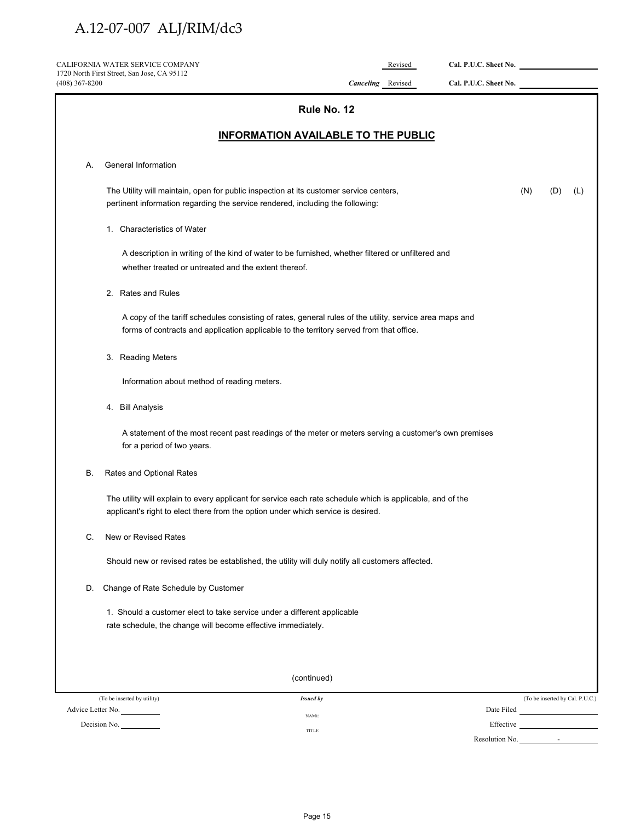|                  | CALIFORNIA WATER SERVICE COMPANY                                                                                                                                                               |                          | Revised | Cal. P.U.C. Sheet No. |            |                                 |
|------------------|------------------------------------------------------------------------------------------------------------------------------------------------------------------------------------------------|--------------------------|---------|-----------------------|------------|---------------------------------|
| $(408)$ 367-8200 | 1720 North First Street, San Jose, CA 95112                                                                                                                                                    | <b>Canceling</b> Revised |         | Cal. P.U.C. Sheet No. |            |                                 |
|                  |                                                                                                                                                                                                | Rule No. 12              |         |                       |            |                                 |
|                  | <b>INFORMATION AVAILABLE TO THE PUBLIC</b>                                                                                                                                                     |                          |         |                       |            |                                 |
| А.               | General Information                                                                                                                                                                            |                          |         |                       |            |                                 |
|                  |                                                                                                                                                                                                |                          |         |                       |            |                                 |
|                  | The Utility will maintain, open for public inspection at its customer service centers,<br>pertinent information regarding the service rendered, including the following:                       |                          |         |                       | (N)<br>(D) | (L)                             |
|                  | 1. Characteristics of Water                                                                                                                                                                    |                          |         |                       |            |                                 |
|                  | A description in writing of the kind of water to be furnished, whether filtered or unfiltered and                                                                                              |                          |         |                       |            |                                 |
|                  | whether treated or untreated and the extent thereof.                                                                                                                                           |                          |         |                       |            |                                 |
|                  | 2. Rates and Rules                                                                                                                                                                             |                          |         |                       |            |                                 |
|                  | A copy of the tariff schedules consisting of rates, general rules of the utility, service area maps and                                                                                        |                          |         |                       |            |                                 |
|                  | forms of contracts and application applicable to the territory served from that office.                                                                                                        |                          |         |                       |            |                                 |
|                  | 3. Reading Meters                                                                                                                                                                              |                          |         |                       |            |                                 |
|                  | Information about method of reading meters.                                                                                                                                                    |                          |         |                       |            |                                 |
|                  | 4. Bill Analysis                                                                                                                                                                               |                          |         |                       |            |                                 |
|                  | A statement of the most recent past readings of the meter or meters serving a customer's own premises<br>for a period of two years.                                                            |                          |         |                       |            |                                 |
| В.               | Rates and Optional Rates                                                                                                                                                                       |                          |         |                       |            |                                 |
|                  | The utility will explain to every applicant for service each rate schedule which is applicable, and of the<br>applicant's right to elect there from the option under which service is desired. |                          |         |                       |            |                                 |
| C.               | New or Revised Rates                                                                                                                                                                           |                          |         |                       |            |                                 |
|                  | Should new or revised rates be established, the utility will duly notify all customers affected.                                                                                               |                          |         |                       |            |                                 |
| D.               | Change of Rate Schedule by Customer                                                                                                                                                            |                          |         |                       |            |                                 |
|                  | 1. Should a customer elect to take service under a different applicable<br>rate schedule, the change will become effective immediately.                                                        |                          |         |                       |            |                                 |
|                  | (continued)                                                                                                                                                                                    |                          |         |                       |            |                                 |
|                  | (To be inserted by utility)<br><b>Issued by</b>                                                                                                                                                |                          |         |                       |            | (To be inserted by Cal. P.U.C.) |
|                  | Advice Letter No.<br><b>NAME</b><br>Decision No.                                                                                                                                               |                          |         |                       |            |                                 |
|                  | TITLE                                                                                                                                                                                          |                          |         | Resolution No.        |            |                                 |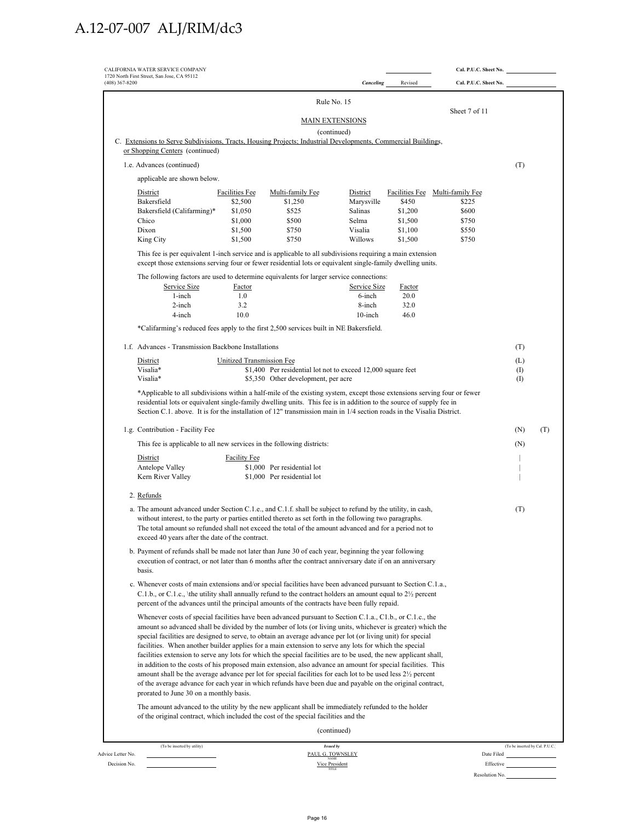| <b>Canceling</b><br>Revised<br>Cal. P.U.C. Sheet No.<br>Rule No. 15<br>Sheet 7 of 11<br><b>MAIN EXTENSIONS</b><br>(continued)<br>C. Extensions to Serve Subdivisions, Tracts, Housing Projects; Industrial Developments, Commercial Buildings,<br>or Shopping Centers (continued)<br>1.e. Advances (continued)<br>(T)<br>applicable are shown below.<br>District<br>District<br>Facilities Fee Multi-family Fee<br><b>Facilities Fee</b><br>Multi-family Fee<br>Bakersfield<br>\$2,500<br>\$450<br>\$1,250<br>Marysville<br>\$225<br>Bakersfield (Califarming)*<br>Salinas<br>\$1,200<br>\$600<br>\$1,050<br>\$525<br>\$500<br>Selma<br>\$1,500<br>Chico<br>\$1,000<br>\$750<br>Dixon<br>\$1,500<br>\$750<br>Visalia<br>\$1,100<br>\$550<br>\$1,500<br>\$750<br>Willows<br>\$1,500<br>King City<br>\$750<br>This fee is per equivalent 1-inch service and is applicable to all subdivisions requiring a main extension<br>except those extensions serving four or fewer residential lots or equivalent single-family dwelling units.<br>The following factors are used to determine equivalents for larger service connections:<br>Service Size<br>Service Size<br>Factor<br>Factor<br>1-inch<br>1.0<br>20.0<br>6-inch<br>2-inch<br>3.2<br>8-inch<br>32.0<br>4-inch<br>10.0<br>10-inch<br>46.0<br>*Califarming's reduced fees apply to the first 2,500 services built in NE Bakersfield.<br>1.f. Advances - Transmission Backbone Installations<br>(T)<br>District<br>Unitized Transmission Fee<br>(L)<br>Visalia*<br>\$1,400 Per residential lot not to exceed 12,000 square feet<br>(1)<br>Visalia*<br>\$5,350 Other development, per acre<br>(<br>*Applicable to all subdivisions within a half-mile of the existing system, except those extensions serving four or fewer<br>residential lots or equivalent single-family dwelling units. This fee is in addition to the source of supply fee in<br>Section C.1. above. It is for the installation of 12" transmission main in 1/4 section roads in the Visalia District.<br>1.g. Contribution - Facility Fee<br>(N)<br>This fee is applicable to all new services in the following districts:<br>(N)<br>District<br><b>Facility Fee</b><br>Antelope Valley<br>\$1,000 Per residential lot<br>\$1,000 Per residential lot<br>Kern River Valley<br>2. Refunds<br>a. The amount advanced under Section C.1.e., and C.1.f. shall be subject to refund by the utility, in cash,<br>(T)<br>without interest, to the party or parties entitled thereto as set forth in the following two paragraphs.<br>The total amount so refunded shall not exceed the total of the amount advanced and for a period not to<br>exceed 40 years after the date of the contract.<br>b. Payment of refunds shall be made not later than June 30 of each year, beginning the year following<br>execution of contract, or not later than 6 months after the contract anniversary date if on an anniversary<br>basis.<br>c. Whenever costs of main extensions and/or special facilities have been advanced pursuant to Section C.1.a.,<br>C.1.b., or C.1.c., \the utility shall annually refund to the contract holders an amount equal to $2\frac{1}{2}$ percent<br>percent of the advances until the principal amounts of the contracts have been fully repaid.<br>Whenever costs of special facilities have been advanced pursuant to Section C.1.a., C1.b., or C.1.c., the<br>amount so advanced shall be divided by the number of lots (or living units, whichever is greater) which the<br>special facilities are designed to serve, to obtain an average advance per lot (or living unit) for special<br>facilities. When another builder applies for a main extension to serve any lots for which the special<br>facilities extension to serve any lots for which the special facilities are to be used, the new applicant shall,<br>in addition to the costs of his proposed main extension, also advance an amount for special facilities. This<br>amount shall be the average advance per lot for special facilities for each lot to be used less 2 <sup>1/2</sup> percent<br>of the average advance for each year in which refunds have been due and payable on the original contract,<br>prorated to June 30 on a monthly basis.<br>The amount advanced to the utility by the new applicant shall be immediately refunded to the holder<br>of the original contract, which included the cost of the special facilities and the<br>(continued)<br>(To be inserted by utility)<br><b>Issued by</b><br>(To be inserted by Cal. P.U.C.)<br>PAUL G. TOWNSLEY<br>Date Filed | CALIFORNIA WATER SERVICE COMPANY<br>1720 North First Street, San Jose, CA 95112 |  |  | Cal. P.U.C. Sheet No. |     |
|---------------------------------------------------------------------------------------------------------------------------------------------------------------------------------------------------------------------------------------------------------------------------------------------------------------------------------------------------------------------------------------------------------------------------------------------------------------------------------------------------------------------------------------------------------------------------------------------------------------------------------------------------------------------------------------------------------------------------------------------------------------------------------------------------------------------------------------------------------------------------------------------------------------------------------------------------------------------------------------------------------------------------------------------------------------------------------------------------------------------------------------------------------------------------------------------------------------------------------------------------------------------------------------------------------------------------------------------------------------------------------------------------------------------------------------------------------------------------------------------------------------------------------------------------------------------------------------------------------------------------------------------------------------------------------------------------------------------------------------------------------------------------------------------------------------------------------------------------------------------------------------------------------------------------------------------------------------------------------------------------------------------------------------------------------------------------------------------------------------------------------------------------------------------------------------------------------------------------------------------------------------------------------------------------------------------------------------------------------------------------------------------------------------------------------------------------------------------------------------------------------------------------------------------------------------------------------------------------------------------------------------------------------------------------------------------------------------------------------------------------------------------------------------------------------------------------------------------------------------------------------------------------------------------------------------------------------------------------------------------------------------------------------------------------------------------------------------------------------------------------------------------------------------------------------------------------------------------------------------------------------------------------------------------------------------------------------------------------------------------------------------------------------------------------------------------------------------------------------------------------------------------------------------------------------------------------------------------------------------------------------------------------------------------------------------------------------------------------------------------------------------------------------------------------------------------------------------------------------------------------------------------------------------------------------------------------------------------------------------------------------------------------------------------------------------------------------------------------------------------------------------------------------------------------------------------------------------------------------------------------------------------------------------------------------------------------------------------------------------------------------------------------------------------------------------------------------------------------------------------------------------------------------------------------------------------------------------------------------------|---------------------------------------------------------------------------------|--|--|-----------------------|-----|
|                                                                                                                                                                                                                                                                                                                                                                                                                                                                                                                                                                                                                                                                                                                                                                                                                                                                                                                                                                                                                                                                                                                                                                                                                                                                                                                                                                                                                                                                                                                                                                                                                                                                                                                                                                                                                                                                                                                                                                                                                                                                                                                                                                                                                                                                                                                                                                                                                                                                                                                                                                                                                                                                                                                                                                                                                                                                                                                                                                                                                                                                                                                                                                                                                                                                                                                                                                                                                                                                                                                                                                                                                                                                                                                                                                                                                                                                                                                                                                                                                                                                                                                                                                                                                                                                                                                                                                                                                                                                                                                                                                                                               | (408) 367-8200                                                                  |  |  |                       |     |
|                                                                                                                                                                                                                                                                                                                                                                                                                                                                                                                                                                                                                                                                                                                                                                                                                                                                                                                                                                                                                                                                                                                                                                                                                                                                                                                                                                                                                                                                                                                                                                                                                                                                                                                                                                                                                                                                                                                                                                                                                                                                                                                                                                                                                                                                                                                                                                                                                                                                                                                                                                                                                                                                                                                                                                                                                                                                                                                                                                                                                                                                                                                                                                                                                                                                                                                                                                                                                                                                                                                                                                                                                                                                                                                                                                                                                                                                                                                                                                                                                                                                                                                                                                                                                                                                                                                                                                                                                                                                                                                                                                                                               |                                                                                 |  |  |                       |     |
|                                                                                                                                                                                                                                                                                                                                                                                                                                                                                                                                                                                                                                                                                                                                                                                                                                                                                                                                                                                                                                                                                                                                                                                                                                                                                                                                                                                                                                                                                                                                                                                                                                                                                                                                                                                                                                                                                                                                                                                                                                                                                                                                                                                                                                                                                                                                                                                                                                                                                                                                                                                                                                                                                                                                                                                                                                                                                                                                                                                                                                                                                                                                                                                                                                                                                                                                                                                                                                                                                                                                                                                                                                                                                                                                                                                                                                                                                                                                                                                                                                                                                                                                                                                                                                                                                                                                                                                                                                                                                                                                                                                                               |                                                                                 |  |  |                       |     |
|                                                                                                                                                                                                                                                                                                                                                                                                                                                                                                                                                                                                                                                                                                                                                                                                                                                                                                                                                                                                                                                                                                                                                                                                                                                                                                                                                                                                                                                                                                                                                                                                                                                                                                                                                                                                                                                                                                                                                                                                                                                                                                                                                                                                                                                                                                                                                                                                                                                                                                                                                                                                                                                                                                                                                                                                                                                                                                                                                                                                                                                                                                                                                                                                                                                                                                                                                                                                                                                                                                                                                                                                                                                                                                                                                                                                                                                                                                                                                                                                                                                                                                                                                                                                                                                                                                                                                                                                                                                                                                                                                                                                               |                                                                                 |  |  |                       |     |
|                                                                                                                                                                                                                                                                                                                                                                                                                                                                                                                                                                                                                                                                                                                                                                                                                                                                                                                                                                                                                                                                                                                                                                                                                                                                                                                                                                                                                                                                                                                                                                                                                                                                                                                                                                                                                                                                                                                                                                                                                                                                                                                                                                                                                                                                                                                                                                                                                                                                                                                                                                                                                                                                                                                                                                                                                                                                                                                                                                                                                                                                                                                                                                                                                                                                                                                                                                                                                                                                                                                                                                                                                                                                                                                                                                                                                                                                                                                                                                                                                                                                                                                                                                                                                                                                                                                                                                                                                                                                                                                                                                                                               |                                                                                 |  |  |                       |     |
|                                                                                                                                                                                                                                                                                                                                                                                                                                                                                                                                                                                                                                                                                                                                                                                                                                                                                                                                                                                                                                                                                                                                                                                                                                                                                                                                                                                                                                                                                                                                                                                                                                                                                                                                                                                                                                                                                                                                                                                                                                                                                                                                                                                                                                                                                                                                                                                                                                                                                                                                                                                                                                                                                                                                                                                                                                                                                                                                                                                                                                                                                                                                                                                                                                                                                                                                                                                                                                                                                                                                                                                                                                                                                                                                                                                                                                                                                                                                                                                                                                                                                                                                                                                                                                                                                                                                                                                                                                                                                                                                                                                                               |                                                                                 |  |  |                       |     |
|                                                                                                                                                                                                                                                                                                                                                                                                                                                                                                                                                                                                                                                                                                                                                                                                                                                                                                                                                                                                                                                                                                                                                                                                                                                                                                                                                                                                                                                                                                                                                                                                                                                                                                                                                                                                                                                                                                                                                                                                                                                                                                                                                                                                                                                                                                                                                                                                                                                                                                                                                                                                                                                                                                                                                                                                                                                                                                                                                                                                                                                                                                                                                                                                                                                                                                                                                                                                                                                                                                                                                                                                                                                                                                                                                                                                                                                                                                                                                                                                                                                                                                                                                                                                                                                                                                                                                                                                                                                                                                                                                                                                               |                                                                                 |  |  |                       |     |
|                                                                                                                                                                                                                                                                                                                                                                                                                                                                                                                                                                                                                                                                                                                                                                                                                                                                                                                                                                                                                                                                                                                                                                                                                                                                                                                                                                                                                                                                                                                                                                                                                                                                                                                                                                                                                                                                                                                                                                                                                                                                                                                                                                                                                                                                                                                                                                                                                                                                                                                                                                                                                                                                                                                                                                                                                                                                                                                                                                                                                                                                                                                                                                                                                                                                                                                                                                                                                                                                                                                                                                                                                                                                                                                                                                                                                                                                                                                                                                                                                                                                                                                                                                                                                                                                                                                                                                                                                                                                                                                                                                                                               |                                                                                 |  |  |                       |     |
|                                                                                                                                                                                                                                                                                                                                                                                                                                                                                                                                                                                                                                                                                                                                                                                                                                                                                                                                                                                                                                                                                                                                                                                                                                                                                                                                                                                                                                                                                                                                                                                                                                                                                                                                                                                                                                                                                                                                                                                                                                                                                                                                                                                                                                                                                                                                                                                                                                                                                                                                                                                                                                                                                                                                                                                                                                                                                                                                                                                                                                                                                                                                                                                                                                                                                                                                                                                                                                                                                                                                                                                                                                                                                                                                                                                                                                                                                                                                                                                                                                                                                                                                                                                                                                                                                                                                                                                                                                                                                                                                                                                                               |                                                                                 |  |  |                       |     |
|                                                                                                                                                                                                                                                                                                                                                                                                                                                                                                                                                                                                                                                                                                                                                                                                                                                                                                                                                                                                                                                                                                                                                                                                                                                                                                                                                                                                                                                                                                                                                                                                                                                                                                                                                                                                                                                                                                                                                                                                                                                                                                                                                                                                                                                                                                                                                                                                                                                                                                                                                                                                                                                                                                                                                                                                                                                                                                                                                                                                                                                                                                                                                                                                                                                                                                                                                                                                                                                                                                                                                                                                                                                                                                                                                                                                                                                                                                                                                                                                                                                                                                                                                                                                                                                                                                                                                                                                                                                                                                                                                                                                               |                                                                                 |  |  |                       |     |
|                                                                                                                                                                                                                                                                                                                                                                                                                                                                                                                                                                                                                                                                                                                                                                                                                                                                                                                                                                                                                                                                                                                                                                                                                                                                                                                                                                                                                                                                                                                                                                                                                                                                                                                                                                                                                                                                                                                                                                                                                                                                                                                                                                                                                                                                                                                                                                                                                                                                                                                                                                                                                                                                                                                                                                                                                                                                                                                                                                                                                                                                                                                                                                                                                                                                                                                                                                                                                                                                                                                                                                                                                                                                                                                                                                                                                                                                                                                                                                                                                                                                                                                                                                                                                                                                                                                                                                                                                                                                                                                                                                                                               |                                                                                 |  |  |                       |     |
|                                                                                                                                                                                                                                                                                                                                                                                                                                                                                                                                                                                                                                                                                                                                                                                                                                                                                                                                                                                                                                                                                                                                                                                                                                                                                                                                                                                                                                                                                                                                                                                                                                                                                                                                                                                                                                                                                                                                                                                                                                                                                                                                                                                                                                                                                                                                                                                                                                                                                                                                                                                                                                                                                                                                                                                                                                                                                                                                                                                                                                                                                                                                                                                                                                                                                                                                                                                                                                                                                                                                                                                                                                                                                                                                                                                                                                                                                                                                                                                                                                                                                                                                                                                                                                                                                                                                                                                                                                                                                                                                                                                                               |                                                                                 |  |  |                       |     |
|                                                                                                                                                                                                                                                                                                                                                                                                                                                                                                                                                                                                                                                                                                                                                                                                                                                                                                                                                                                                                                                                                                                                                                                                                                                                                                                                                                                                                                                                                                                                                                                                                                                                                                                                                                                                                                                                                                                                                                                                                                                                                                                                                                                                                                                                                                                                                                                                                                                                                                                                                                                                                                                                                                                                                                                                                                                                                                                                                                                                                                                                                                                                                                                                                                                                                                                                                                                                                                                                                                                                                                                                                                                                                                                                                                                                                                                                                                                                                                                                                                                                                                                                                                                                                                                                                                                                                                                                                                                                                                                                                                                                               |                                                                                 |  |  |                       |     |
|                                                                                                                                                                                                                                                                                                                                                                                                                                                                                                                                                                                                                                                                                                                                                                                                                                                                                                                                                                                                                                                                                                                                                                                                                                                                                                                                                                                                                                                                                                                                                                                                                                                                                                                                                                                                                                                                                                                                                                                                                                                                                                                                                                                                                                                                                                                                                                                                                                                                                                                                                                                                                                                                                                                                                                                                                                                                                                                                                                                                                                                                                                                                                                                                                                                                                                                                                                                                                                                                                                                                                                                                                                                                                                                                                                                                                                                                                                                                                                                                                                                                                                                                                                                                                                                                                                                                                                                                                                                                                                                                                                                                               |                                                                                 |  |  |                       |     |
|                                                                                                                                                                                                                                                                                                                                                                                                                                                                                                                                                                                                                                                                                                                                                                                                                                                                                                                                                                                                                                                                                                                                                                                                                                                                                                                                                                                                                                                                                                                                                                                                                                                                                                                                                                                                                                                                                                                                                                                                                                                                                                                                                                                                                                                                                                                                                                                                                                                                                                                                                                                                                                                                                                                                                                                                                                                                                                                                                                                                                                                                                                                                                                                                                                                                                                                                                                                                                                                                                                                                                                                                                                                                                                                                                                                                                                                                                                                                                                                                                                                                                                                                                                                                                                                                                                                                                                                                                                                                                                                                                                                                               |                                                                                 |  |  |                       |     |
|                                                                                                                                                                                                                                                                                                                                                                                                                                                                                                                                                                                                                                                                                                                                                                                                                                                                                                                                                                                                                                                                                                                                                                                                                                                                                                                                                                                                                                                                                                                                                                                                                                                                                                                                                                                                                                                                                                                                                                                                                                                                                                                                                                                                                                                                                                                                                                                                                                                                                                                                                                                                                                                                                                                                                                                                                                                                                                                                                                                                                                                                                                                                                                                                                                                                                                                                                                                                                                                                                                                                                                                                                                                                                                                                                                                                                                                                                                                                                                                                                                                                                                                                                                                                                                                                                                                                                                                                                                                                                                                                                                                                               |                                                                                 |  |  |                       |     |
|                                                                                                                                                                                                                                                                                                                                                                                                                                                                                                                                                                                                                                                                                                                                                                                                                                                                                                                                                                                                                                                                                                                                                                                                                                                                                                                                                                                                                                                                                                                                                                                                                                                                                                                                                                                                                                                                                                                                                                                                                                                                                                                                                                                                                                                                                                                                                                                                                                                                                                                                                                                                                                                                                                                                                                                                                                                                                                                                                                                                                                                                                                                                                                                                                                                                                                                                                                                                                                                                                                                                                                                                                                                                                                                                                                                                                                                                                                                                                                                                                                                                                                                                                                                                                                                                                                                                                                                                                                                                                                                                                                                                               |                                                                                 |  |  |                       |     |
|                                                                                                                                                                                                                                                                                                                                                                                                                                                                                                                                                                                                                                                                                                                                                                                                                                                                                                                                                                                                                                                                                                                                                                                                                                                                                                                                                                                                                                                                                                                                                                                                                                                                                                                                                                                                                                                                                                                                                                                                                                                                                                                                                                                                                                                                                                                                                                                                                                                                                                                                                                                                                                                                                                                                                                                                                                                                                                                                                                                                                                                                                                                                                                                                                                                                                                                                                                                                                                                                                                                                                                                                                                                                                                                                                                                                                                                                                                                                                                                                                                                                                                                                                                                                                                                                                                                                                                                                                                                                                                                                                                                                               |                                                                                 |  |  |                       |     |
|                                                                                                                                                                                                                                                                                                                                                                                                                                                                                                                                                                                                                                                                                                                                                                                                                                                                                                                                                                                                                                                                                                                                                                                                                                                                                                                                                                                                                                                                                                                                                                                                                                                                                                                                                                                                                                                                                                                                                                                                                                                                                                                                                                                                                                                                                                                                                                                                                                                                                                                                                                                                                                                                                                                                                                                                                                                                                                                                                                                                                                                                                                                                                                                                                                                                                                                                                                                                                                                                                                                                                                                                                                                                                                                                                                                                                                                                                                                                                                                                                                                                                                                                                                                                                                                                                                                                                                                                                                                                                                                                                                                                               |                                                                                 |  |  |                       |     |
|                                                                                                                                                                                                                                                                                                                                                                                                                                                                                                                                                                                                                                                                                                                                                                                                                                                                                                                                                                                                                                                                                                                                                                                                                                                                                                                                                                                                                                                                                                                                                                                                                                                                                                                                                                                                                                                                                                                                                                                                                                                                                                                                                                                                                                                                                                                                                                                                                                                                                                                                                                                                                                                                                                                                                                                                                                                                                                                                                                                                                                                                                                                                                                                                                                                                                                                                                                                                                                                                                                                                                                                                                                                                                                                                                                                                                                                                                                                                                                                                                                                                                                                                                                                                                                                                                                                                                                                                                                                                                                                                                                                                               |                                                                                 |  |  |                       |     |
|                                                                                                                                                                                                                                                                                                                                                                                                                                                                                                                                                                                                                                                                                                                                                                                                                                                                                                                                                                                                                                                                                                                                                                                                                                                                                                                                                                                                                                                                                                                                                                                                                                                                                                                                                                                                                                                                                                                                                                                                                                                                                                                                                                                                                                                                                                                                                                                                                                                                                                                                                                                                                                                                                                                                                                                                                                                                                                                                                                                                                                                                                                                                                                                                                                                                                                                                                                                                                                                                                                                                                                                                                                                                                                                                                                                                                                                                                                                                                                                                                                                                                                                                                                                                                                                                                                                                                                                                                                                                                                                                                                                                               |                                                                                 |  |  |                       |     |
|                                                                                                                                                                                                                                                                                                                                                                                                                                                                                                                                                                                                                                                                                                                                                                                                                                                                                                                                                                                                                                                                                                                                                                                                                                                                                                                                                                                                                                                                                                                                                                                                                                                                                                                                                                                                                                                                                                                                                                                                                                                                                                                                                                                                                                                                                                                                                                                                                                                                                                                                                                                                                                                                                                                                                                                                                                                                                                                                                                                                                                                                                                                                                                                                                                                                                                                                                                                                                                                                                                                                                                                                                                                                                                                                                                                                                                                                                                                                                                                                                                                                                                                                                                                                                                                                                                                                                                                                                                                                                                                                                                                                               |                                                                                 |  |  |                       |     |
|                                                                                                                                                                                                                                                                                                                                                                                                                                                                                                                                                                                                                                                                                                                                                                                                                                                                                                                                                                                                                                                                                                                                                                                                                                                                                                                                                                                                                                                                                                                                                                                                                                                                                                                                                                                                                                                                                                                                                                                                                                                                                                                                                                                                                                                                                                                                                                                                                                                                                                                                                                                                                                                                                                                                                                                                                                                                                                                                                                                                                                                                                                                                                                                                                                                                                                                                                                                                                                                                                                                                                                                                                                                                                                                                                                                                                                                                                                                                                                                                                                                                                                                                                                                                                                                                                                                                                                                                                                                                                                                                                                                                               |                                                                                 |  |  |                       |     |
|                                                                                                                                                                                                                                                                                                                                                                                                                                                                                                                                                                                                                                                                                                                                                                                                                                                                                                                                                                                                                                                                                                                                                                                                                                                                                                                                                                                                                                                                                                                                                                                                                                                                                                                                                                                                                                                                                                                                                                                                                                                                                                                                                                                                                                                                                                                                                                                                                                                                                                                                                                                                                                                                                                                                                                                                                                                                                                                                                                                                                                                                                                                                                                                                                                                                                                                                                                                                                                                                                                                                                                                                                                                                                                                                                                                                                                                                                                                                                                                                                                                                                                                                                                                                                                                                                                                                                                                                                                                                                                                                                                                                               |                                                                                 |  |  |                       | (T) |
|                                                                                                                                                                                                                                                                                                                                                                                                                                                                                                                                                                                                                                                                                                                                                                                                                                                                                                                                                                                                                                                                                                                                                                                                                                                                                                                                                                                                                                                                                                                                                                                                                                                                                                                                                                                                                                                                                                                                                                                                                                                                                                                                                                                                                                                                                                                                                                                                                                                                                                                                                                                                                                                                                                                                                                                                                                                                                                                                                                                                                                                                                                                                                                                                                                                                                                                                                                                                                                                                                                                                                                                                                                                                                                                                                                                                                                                                                                                                                                                                                                                                                                                                                                                                                                                                                                                                                                                                                                                                                                                                                                                                               |                                                                                 |  |  |                       |     |
|                                                                                                                                                                                                                                                                                                                                                                                                                                                                                                                                                                                                                                                                                                                                                                                                                                                                                                                                                                                                                                                                                                                                                                                                                                                                                                                                                                                                                                                                                                                                                                                                                                                                                                                                                                                                                                                                                                                                                                                                                                                                                                                                                                                                                                                                                                                                                                                                                                                                                                                                                                                                                                                                                                                                                                                                                                                                                                                                                                                                                                                                                                                                                                                                                                                                                                                                                                                                                                                                                                                                                                                                                                                                                                                                                                                                                                                                                                                                                                                                                                                                                                                                                                                                                                                                                                                                                                                                                                                                                                                                                                                                               |                                                                                 |  |  |                       |     |
|                                                                                                                                                                                                                                                                                                                                                                                                                                                                                                                                                                                                                                                                                                                                                                                                                                                                                                                                                                                                                                                                                                                                                                                                                                                                                                                                                                                                                                                                                                                                                                                                                                                                                                                                                                                                                                                                                                                                                                                                                                                                                                                                                                                                                                                                                                                                                                                                                                                                                                                                                                                                                                                                                                                                                                                                                                                                                                                                                                                                                                                                                                                                                                                                                                                                                                                                                                                                                                                                                                                                                                                                                                                                                                                                                                                                                                                                                                                                                                                                                                                                                                                                                                                                                                                                                                                                                                                                                                                                                                                                                                                                               |                                                                                 |  |  |                       |     |
|                                                                                                                                                                                                                                                                                                                                                                                                                                                                                                                                                                                                                                                                                                                                                                                                                                                                                                                                                                                                                                                                                                                                                                                                                                                                                                                                                                                                                                                                                                                                                                                                                                                                                                                                                                                                                                                                                                                                                                                                                                                                                                                                                                                                                                                                                                                                                                                                                                                                                                                                                                                                                                                                                                                                                                                                                                                                                                                                                                                                                                                                                                                                                                                                                                                                                                                                                                                                                                                                                                                                                                                                                                                                                                                                                                                                                                                                                                                                                                                                                                                                                                                                                                                                                                                                                                                                                                                                                                                                                                                                                                                                               |                                                                                 |  |  |                       |     |
|                                                                                                                                                                                                                                                                                                                                                                                                                                                                                                                                                                                                                                                                                                                                                                                                                                                                                                                                                                                                                                                                                                                                                                                                                                                                                                                                                                                                                                                                                                                                                                                                                                                                                                                                                                                                                                                                                                                                                                                                                                                                                                                                                                                                                                                                                                                                                                                                                                                                                                                                                                                                                                                                                                                                                                                                                                                                                                                                                                                                                                                                                                                                                                                                                                                                                                                                                                                                                                                                                                                                                                                                                                                                                                                                                                                                                                                                                                                                                                                                                                                                                                                                                                                                                                                                                                                                                                                                                                                                                                                                                                                                               |                                                                                 |  |  |                       |     |
|                                                                                                                                                                                                                                                                                                                                                                                                                                                                                                                                                                                                                                                                                                                                                                                                                                                                                                                                                                                                                                                                                                                                                                                                                                                                                                                                                                                                                                                                                                                                                                                                                                                                                                                                                                                                                                                                                                                                                                                                                                                                                                                                                                                                                                                                                                                                                                                                                                                                                                                                                                                                                                                                                                                                                                                                                                                                                                                                                                                                                                                                                                                                                                                                                                                                                                                                                                                                                                                                                                                                                                                                                                                                                                                                                                                                                                                                                                                                                                                                                                                                                                                                                                                                                                                                                                                                                                                                                                                                                                                                                                                                               |                                                                                 |  |  |                       |     |
|                                                                                                                                                                                                                                                                                                                                                                                                                                                                                                                                                                                                                                                                                                                                                                                                                                                                                                                                                                                                                                                                                                                                                                                                                                                                                                                                                                                                                                                                                                                                                                                                                                                                                                                                                                                                                                                                                                                                                                                                                                                                                                                                                                                                                                                                                                                                                                                                                                                                                                                                                                                                                                                                                                                                                                                                                                                                                                                                                                                                                                                                                                                                                                                                                                                                                                                                                                                                                                                                                                                                                                                                                                                                                                                                                                                                                                                                                                                                                                                                                                                                                                                                                                                                                                                                                                                                                                                                                                                                                                                                                                                                               |                                                                                 |  |  |                       |     |
|                                                                                                                                                                                                                                                                                                                                                                                                                                                                                                                                                                                                                                                                                                                                                                                                                                                                                                                                                                                                                                                                                                                                                                                                                                                                                                                                                                                                                                                                                                                                                                                                                                                                                                                                                                                                                                                                                                                                                                                                                                                                                                                                                                                                                                                                                                                                                                                                                                                                                                                                                                                                                                                                                                                                                                                                                                                                                                                                                                                                                                                                                                                                                                                                                                                                                                                                                                                                                                                                                                                                                                                                                                                                                                                                                                                                                                                                                                                                                                                                                                                                                                                                                                                                                                                                                                                                                                                                                                                                                                                                                                                                               |                                                                                 |  |  |                       |     |
|                                                                                                                                                                                                                                                                                                                                                                                                                                                                                                                                                                                                                                                                                                                                                                                                                                                                                                                                                                                                                                                                                                                                                                                                                                                                                                                                                                                                                                                                                                                                                                                                                                                                                                                                                                                                                                                                                                                                                                                                                                                                                                                                                                                                                                                                                                                                                                                                                                                                                                                                                                                                                                                                                                                                                                                                                                                                                                                                                                                                                                                                                                                                                                                                                                                                                                                                                                                                                                                                                                                                                                                                                                                                                                                                                                                                                                                                                                                                                                                                                                                                                                                                                                                                                                                                                                                                                                                                                                                                                                                                                                                                               |                                                                                 |  |  |                       |     |
|                                                                                                                                                                                                                                                                                                                                                                                                                                                                                                                                                                                                                                                                                                                                                                                                                                                                                                                                                                                                                                                                                                                                                                                                                                                                                                                                                                                                                                                                                                                                                                                                                                                                                                                                                                                                                                                                                                                                                                                                                                                                                                                                                                                                                                                                                                                                                                                                                                                                                                                                                                                                                                                                                                                                                                                                                                                                                                                                                                                                                                                                                                                                                                                                                                                                                                                                                                                                                                                                                                                                                                                                                                                                                                                                                                                                                                                                                                                                                                                                                                                                                                                                                                                                                                                                                                                                                                                                                                                                                                                                                                                                               |                                                                                 |  |  |                       |     |
|                                                                                                                                                                                                                                                                                                                                                                                                                                                                                                                                                                                                                                                                                                                                                                                                                                                                                                                                                                                                                                                                                                                                                                                                                                                                                                                                                                                                                                                                                                                                                                                                                                                                                                                                                                                                                                                                                                                                                                                                                                                                                                                                                                                                                                                                                                                                                                                                                                                                                                                                                                                                                                                                                                                                                                                                                                                                                                                                                                                                                                                                                                                                                                                                                                                                                                                                                                                                                                                                                                                                                                                                                                                                                                                                                                                                                                                                                                                                                                                                                                                                                                                                                                                                                                                                                                                                                                                                                                                                                                                                                                                                               |                                                                                 |  |  |                       |     |
| Vice President<br>Effective                                                                                                                                                                                                                                                                                                                                                                                                                                                                                                                                                                                                                                                                                                                                                                                                                                                                                                                                                                                                                                                                                                                                                                                                                                                                                                                                                                                                                                                                                                                                                                                                                                                                                                                                                                                                                                                                                                                                                                                                                                                                                                                                                                                                                                                                                                                                                                                                                                                                                                                                                                                                                                                                                                                                                                                                                                                                                                                                                                                                                                                                                                                                                                                                                                                                                                                                                                                                                                                                                                                                                                                                                                                                                                                                                                                                                                                                                                                                                                                                                                                                                                                                                                                                                                                                                                                                                                                                                                                                                                                                                                                   | Advice Letter No.<br>Decision No.                                               |  |  |                       |     |

Resolution No.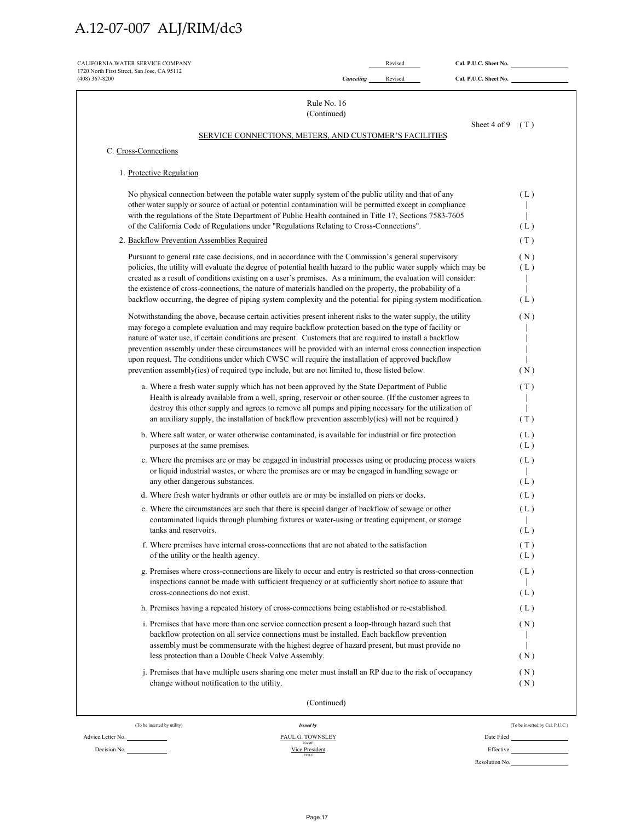| $(408)$ 367-8200<br>Canceling<br>Rule No. 16<br>(Continued)<br>SERVICE CONNECTIONS, METERS, AND CUSTOMER'S FACILITIES<br>C. Cross-Connections<br>1. Protective Regulation<br>No physical connection between the potable water supply system of the public utility and that of any<br>other water supply or source of actual or potential contamination will be permitted except in compliance<br>with the regulations of the State Department of Public Health contained in Title 17, Sections 7583-7605<br>of the California Code of Regulations under "Regulations Relating to Cross-Connections".<br>2. Backflow Prevention Assemblies Required<br>Pursuant to general rate case decisions, and in accordance with the Commission's general supervisory<br>policies, the utility will evaluate the degree of potential health hazard to the public water supply which may be<br>created as a result of conditions existing on a user's premises. As a minimum, the evaluation will consider:<br>the existence of cross-connections, the nature of materials handled on the property, the probability of a<br>backflow occurring, the degree of piping system complexity and the potential for piping system modification.<br>Notwithstanding the above, because certain activities present inherent risks to the water supply, the utility<br>may forego a complete evaluation and may require backflow protection based on the type of facility or<br>nature of water use, if certain conditions are present. Customers that are required to install a backflow<br>prevention assembly under these circumstances will be provided with an internal cross connection inspection<br>upon request. The conditions under which CWSC will require the installation of approved backflow<br>prevention assembly(ies) of required type include, but are not limited to, those listed below.<br>a. Where a fresh water supply which has not been approved by the State Department of Public<br>Health is already available from a well, spring, reservoir or other source. (If the customer agrees to<br>destroy this other supply and agrees to remove all pumps and piping necessary for the utilization of<br>an auxiliary supply, the installation of backflow prevention assembly(ies) will not be required.)<br>b. Where salt water, or water otherwise contaminated, is available for industrial or fire protection<br>purposes at the same premises.<br>c. Where the premises are or may be engaged in industrial processes using or producing process waters<br>or liquid industrial wastes, or where the premises are or may be engaged in handling sewage or<br>any other dangerous substances.<br>d. Where fresh water hydrants or other outlets are or may be installed on piers or docks.<br>e. Where the circumstances are such that there is special danger of backflow of sewage or other<br>contaminated liquids through plumbing fixtures or water-using or treating equipment, or storage<br>tanks and reservoirs.<br>f. Where premises have internal cross-connections that are not abated to the satisfaction<br>of the utility or the health agency.<br>g. Premises where cross-connections are likely to occur and entry is restricted so that cross-connection<br>inspections cannot be made with sufficient frequency or at sufficiently short notice to assure that<br>cross-connections do not exist.<br>h. Premises having a repeated history of cross-connections being established or re-established.<br>i. Premises that have more than one service connection present a loop-through hazard such that<br>backflow protection on all service connections must be installed. Each backflow prevention<br>assembly must be commensurate with the highest degree of hazard present, but must provide no<br>less protection than a Double Check Valve Assembly.<br>j. Premises that have multiple users sharing one meter must install an RP due to the risk of occupancy<br>change without notification to the utility. | Revised      |                                 |
|--------------------------------------------------------------------------------------------------------------------------------------------------------------------------------------------------------------------------------------------------------------------------------------------------------------------------------------------------------------------------------------------------------------------------------------------------------------------------------------------------------------------------------------------------------------------------------------------------------------------------------------------------------------------------------------------------------------------------------------------------------------------------------------------------------------------------------------------------------------------------------------------------------------------------------------------------------------------------------------------------------------------------------------------------------------------------------------------------------------------------------------------------------------------------------------------------------------------------------------------------------------------------------------------------------------------------------------------------------------------------------------------------------------------------------------------------------------------------------------------------------------------------------------------------------------------------------------------------------------------------------------------------------------------------------------------------------------------------------------------------------------------------------------------------------------------------------------------------------------------------------------------------------------------------------------------------------------------------------------------------------------------------------------------------------------------------------------------------------------------------------------------------------------------------------------------------------------------------------------------------------------------------------------------------------------------------------------------------------------------------------------------------------------------------------------------------------------------------------------------------------------------------------------------------------------------------------------------------------------------------------------------------------------------------------------------------------------------------------------------------------------------------------------------------------------------------------------------------------------------------------------------------------------------------------------------------------------------------------------------------------------------------------------------------------------------------------------------------------------------------------------------------------------------------------------------------------------------------------------------------------------------------------------------------------------------------------------------------------------------------------------------------------------------------------------------------------------------------------------------------------------------------------------------------------------------------------------------------------------------------------------------------------------------------------------------------------------------------------------------------------------------------------------------------------------------------------------------------------------------------------------------------------------------------------------------------------------------------------------------------------------------------------------------------|--------------|---------------------------------|
|                                                                                                                                                                                                                                                                                                                                                                                                                                                                                                                                                                                                                                                                                                                                                                                                                                                                                                                                                                                                                                                                                                                                                                                                                                                                                                                                                                                                                                                                                                                                                                                                                                                                                                                                                                                                                                                                                                                                                                                                                                                                                                                                                                                                                                                                                                                                                                                                                                                                                                                                                                                                                                                                                                                                                                                                                                                                                                                                                                                                                                                                                                                                                                                                                                                                                                                                                                                                                                                                                                                                                                                                                                                                                                                                                                                                                                                                                                                                                                                                                                                  |              |                                 |
|                                                                                                                                                                                                                                                                                                                                                                                                                                                                                                                                                                                                                                                                                                                                                                                                                                                                                                                                                                                                                                                                                                                                                                                                                                                                                                                                                                                                                                                                                                                                                                                                                                                                                                                                                                                                                                                                                                                                                                                                                                                                                                                                                                                                                                                                                                                                                                                                                                                                                                                                                                                                                                                                                                                                                                                                                                                                                                                                                                                                                                                                                                                                                                                                                                                                                                                                                                                                                                                                                                                                                                                                                                                                                                                                                                                                                                                                                                                                                                                                                                                  |              |                                 |
|                                                                                                                                                                                                                                                                                                                                                                                                                                                                                                                                                                                                                                                                                                                                                                                                                                                                                                                                                                                                                                                                                                                                                                                                                                                                                                                                                                                                                                                                                                                                                                                                                                                                                                                                                                                                                                                                                                                                                                                                                                                                                                                                                                                                                                                                                                                                                                                                                                                                                                                                                                                                                                                                                                                                                                                                                                                                                                                                                                                                                                                                                                                                                                                                                                                                                                                                                                                                                                                                                                                                                                                                                                                                                                                                                                                                                                                                                                                                                                                                                                                  | Sheet 4 of 9 | (T)                             |
|                                                                                                                                                                                                                                                                                                                                                                                                                                                                                                                                                                                                                                                                                                                                                                                                                                                                                                                                                                                                                                                                                                                                                                                                                                                                                                                                                                                                                                                                                                                                                                                                                                                                                                                                                                                                                                                                                                                                                                                                                                                                                                                                                                                                                                                                                                                                                                                                                                                                                                                                                                                                                                                                                                                                                                                                                                                                                                                                                                                                                                                                                                                                                                                                                                                                                                                                                                                                                                                                                                                                                                                                                                                                                                                                                                                                                                                                                                                                                                                                                                                  |              |                                 |
|                                                                                                                                                                                                                                                                                                                                                                                                                                                                                                                                                                                                                                                                                                                                                                                                                                                                                                                                                                                                                                                                                                                                                                                                                                                                                                                                                                                                                                                                                                                                                                                                                                                                                                                                                                                                                                                                                                                                                                                                                                                                                                                                                                                                                                                                                                                                                                                                                                                                                                                                                                                                                                                                                                                                                                                                                                                                                                                                                                                                                                                                                                                                                                                                                                                                                                                                                                                                                                                                                                                                                                                                                                                                                                                                                                                                                                                                                                                                                                                                                                                  |              |                                 |
|                                                                                                                                                                                                                                                                                                                                                                                                                                                                                                                                                                                                                                                                                                                                                                                                                                                                                                                                                                                                                                                                                                                                                                                                                                                                                                                                                                                                                                                                                                                                                                                                                                                                                                                                                                                                                                                                                                                                                                                                                                                                                                                                                                                                                                                                                                                                                                                                                                                                                                                                                                                                                                                                                                                                                                                                                                                                                                                                                                                                                                                                                                                                                                                                                                                                                                                                                                                                                                                                                                                                                                                                                                                                                                                                                                                                                                                                                                                                                                                                                                                  |              | (L)                             |
|                                                                                                                                                                                                                                                                                                                                                                                                                                                                                                                                                                                                                                                                                                                                                                                                                                                                                                                                                                                                                                                                                                                                                                                                                                                                                                                                                                                                                                                                                                                                                                                                                                                                                                                                                                                                                                                                                                                                                                                                                                                                                                                                                                                                                                                                                                                                                                                                                                                                                                                                                                                                                                                                                                                                                                                                                                                                                                                                                                                                                                                                                                                                                                                                                                                                                                                                                                                                                                                                                                                                                                                                                                                                                                                                                                                                                                                                                                                                                                                                                                                  |              | (L)                             |
|                                                                                                                                                                                                                                                                                                                                                                                                                                                                                                                                                                                                                                                                                                                                                                                                                                                                                                                                                                                                                                                                                                                                                                                                                                                                                                                                                                                                                                                                                                                                                                                                                                                                                                                                                                                                                                                                                                                                                                                                                                                                                                                                                                                                                                                                                                                                                                                                                                                                                                                                                                                                                                                                                                                                                                                                                                                                                                                                                                                                                                                                                                                                                                                                                                                                                                                                                                                                                                                                                                                                                                                                                                                                                                                                                                                                                                                                                                                                                                                                                                                  |              | (T)                             |
|                                                                                                                                                                                                                                                                                                                                                                                                                                                                                                                                                                                                                                                                                                                                                                                                                                                                                                                                                                                                                                                                                                                                                                                                                                                                                                                                                                                                                                                                                                                                                                                                                                                                                                                                                                                                                                                                                                                                                                                                                                                                                                                                                                                                                                                                                                                                                                                                                                                                                                                                                                                                                                                                                                                                                                                                                                                                                                                                                                                                                                                                                                                                                                                                                                                                                                                                                                                                                                                                                                                                                                                                                                                                                                                                                                                                                                                                                                                                                                                                                                                  |              | (N)<br>(L)<br>(L)               |
|                                                                                                                                                                                                                                                                                                                                                                                                                                                                                                                                                                                                                                                                                                                                                                                                                                                                                                                                                                                                                                                                                                                                                                                                                                                                                                                                                                                                                                                                                                                                                                                                                                                                                                                                                                                                                                                                                                                                                                                                                                                                                                                                                                                                                                                                                                                                                                                                                                                                                                                                                                                                                                                                                                                                                                                                                                                                                                                                                                                                                                                                                                                                                                                                                                                                                                                                                                                                                                                                                                                                                                                                                                                                                                                                                                                                                                                                                                                                                                                                                                                  |              | (N)<br>(N)                      |
|                                                                                                                                                                                                                                                                                                                                                                                                                                                                                                                                                                                                                                                                                                                                                                                                                                                                                                                                                                                                                                                                                                                                                                                                                                                                                                                                                                                                                                                                                                                                                                                                                                                                                                                                                                                                                                                                                                                                                                                                                                                                                                                                                                                                                                                                                                                                                                                                                                                                                                                                                                                                                                                                                                                                                                                                                                                                                                                                                                                                                                                                                                                                                                                                                                                                                                                                                                                                                                                                                                                                                                                                                                                                                                                                                                                                                                                                                                                                                                                                                                                  |              | (T)                             |
|                                                                                                                                                                                                                                                                                                                                                                                                                                                                                                                                                                                                                                                                                                                                                                                                                                                                                                                                                                                                                                                                                                                                                                                                                                                                                                                                                                                                                                                                                                                                                                                                                                                                                                                                                                                                                                                                                                                                                                                                                                                                                                                                                                                                                                                                                                                                                                                                                                                                                                                                                                                                                                                                                                                                                                                                                                                                                                                                                                                                                                                                                                                                                                                                                                                                                                                                                                                                                                                                                                                                                                                                                                                                                                                                                                                                                                                                                                                                                                                                                                                  |              | (T)<br>(L)                      |
|                                                                                                                                                                                                                                                                                                                                                                                                                                                                                                                                                                                                                                                                                                                                                                                                                                                                                                                                                                                                                                                                                                                                                                                                                                                                                                                                                                                                                                                                                                                                                                                                                                                                                                                                                                                                                                                                                                                                                                                                                                                                                                                                                                                                                                                                                                                                                                                                                                                                                                                                                                                                                                                                                                                                                                                                                                                                                                                                                                                                                                                                                                                                                                                                                                                                                                                                                                                                                                                                                                                                                                                                                                                                                                                                                                                                                                                                                                                                                                                                                                                  |              | (L)                             |
|                                                                                                                                                                                                                                                                                                                                                                                                                                                                                                                                                                                                                                                                                                                                                                                                                                                                                                                                                                                                                                                                                                                                                                                                                                                                                                                                                                                                                                                                                                                                                                                                                                                                                                                                                                                                                                                                                                                                                                                                                                                                                                                                                                                                                                                                                                                                                                                                                                                                                                                                                                                                                                                                                                                                                                                                                                                                                                                                                                                                                                                                                                                                                                                                                                                                                                                                                                                                                                                                                                                                                                                                                                                                                                                                                                                                                                                                                                                                                                                                                                                  |              | (L)                             |
|                                                                                                                                                                                                                                                                                                                                                                                                                                                                                                                                                                                                                                                                                                                                                                                                                                                                                                                                                                                                                                                                                                                                                                                                                                                                                                                                                                                                                                                                                                                                                                                                                                                                                                                                                                                                                                                                                                                                                                                                                                                                                                                                                                                                                                                                                                                                                                                                                                                                                                                                                                                                                                                                                                                                                                                                                                                                                                                                                                                                                                                                                                                                                                                                                                                                                                                                                                                                                                                                                                                                                                                                                                                                                                                                                                                                                                                                                                                                                                                                                                                  |              | (L)<br>(L)                      |
|                                                                                                                                                                                                                                                                                                                                                                                                                                                                                                                                                                                                                                                                                                                                                                                                                                                                                                                                                                                                                                                                                                                                                                                                                                                                                                                                                                                                                                                                                                                                                                                                                                                                                                                                                                                                                                                                                                                                                                                                                                                                                                                                                                                                                                                                                                                                                                                                                                                                                                                                                                                                                                                                                                                                                                                                                                                                                                                                                                                                                                                                                                                                                                                                                                                                                                                                                                                                                                                                                                                                                                                                                                                                                                                                                                                                                                                                                                                                                                                                                                                  |              | (L)<br>(L)                      |
|                                                                                                                                                                                                                                                                                                                                                                                                                                                                                                                                                                                                                                                                                                                                                                                                                                                                                                                                                                                                                                                                                                                                                                                                                                                                                                                                                                                                                                                                                                                                                                                                                                                                                                                                                                                                                                                                                                                                                                                                                                                                                                                                                                                                                                                                                                                                                                                                                                                                                                                                                                                                                                                                                                                                                                                                                                                                                                                                                                                                                                                                                                                                                                                                                                                                                                                                                                                                                                                                                                                                                                                                                                                                                                                                                                                                                                                                                                                                                                                                                                                  |              | (T)<br>(L)                      |
|                                                                                                                                                                                                                                                                                                                                                                                                                                                                                                                                                                                                                                                                                                                                                                                                                                                                                                                                                                                                                                                                                                                                                                                                                                                                                                                                                                                                                                                                                                                                                                                                                                                                                                                                                                                                                                                                                                                                                                                                                                                                                                                                                                                                                                                                                                                                                                                                                                                                                                                                                                                                                                                                                                                                                                                                                                                                                                                                                                                                                                                                                                                                                                                                                                                                                                                                                                                                                                                                                                                                                                                                                                                                                                                                                                                                                                                                                                                                                                                                                                                  |              | (L)<br>(L)                      |
|                                                                                                                                                                                                                                                                                                                                                                                                                                                                                                                                                                                                                                                                                                                                                                                                                                                                                                                                                                                                                                                                                                                                                                                                                                                                                                                                                                                                                                                                                                                                                                                                                                                                                                                                                                                                                                                                                                                                                                                                                                                                                                                                                                                                                                                                                                                                                                                                                                                                                                                                                                                                                                                                                                                                                                                                                                                                                                                                                                                                                                                                                                                                                                                                                                                                                                                                                                                                                                                                                                                                                                                                                                                                                                                                                                                                                                                                                                                                                                                                                                                  |              | (L)                             |
|                                                                                                                                                                                                                                                                                                                                                                                                                                                                                                                                                                                                                                                                                                                                                                                                                                                                                                                                                                                                                                                                                                                                                                                                                                                                                                                                                                                                                                                                                                                                                                                                                                                                                                                                                                                                                                                                                                                                                                                                                                                                                                                                                                                                                                                                                                                                                                                                                                                                                                                                                                                                                                                                                                                                                                                                                                                                                                                                                                                                                                                                                                                                                                                                                                                                                                                                                                                                                                                                                                                                                                                                                                                                                                                                                                                                                                                                                                                                                                                                                                                  |              | (N)<br>(N)                      |
|                                                                                                                                                                                                                                                                                                                                                                                                                                                                                                                                                                                                                                                                                                                                                                                                                                                                                                                                                                                                                                                                                                                                                                                                                                                                                                                                                                                                                                                                                                                                                                                                                                                                                                                                                                                                                                                                                                                                                                                                                                                                                                                                                                                                                                                                                                                                                                                                                                                                                                                                                                                                                                                                                                                                                                                                                                                                                                                                                                                                                                                                                                                                                                                                                                                                                                                                                                                                                                                                                                                                                                                                                                                                                                                                                                                                                                                                                                                                                                                                                                                  |              | (N)<br>(N)                      |
| (Continued)                                                                                                                                                                                                                                                                                                                                                                                                                                                                                                                                                                                                                                                                                                                                                                                                                                                                                                                                                                                                                                                                                                                                                                                                                                                                                                                                                                                                                                                                                                                                                                                                                                                                                                                                                                                                                                                                                                                                                                                                                                                                                                                                                                                                                                                                                                                                                                                                                                                                                                                                                                                                                                                                                                                                                                                                                                                                                                                                                                                                                                                                                                                                                                                                                                                                                                                                                                                                                                                                                                                                                                                                                                                                                                                                                                                                                                                                                                                                                                                                                                      |              |                                 |
| (To be inserted by utility)<br><b>Issued by</b>                                                                                                                                                                                                                                                                                                                                                                                                                                                                                                                                                                                                                                                                                                                                                                                                                                                                                                                                                                                                                                                                                                                                                                                                                                                                                                                                                                                                                                                                                                                                                                                                                                                                                                                                                                                                                                                                                                                                                                                                                                                                                                                                                                                                                                                                                                                                                                                                                                                                                                                                                                                                                                                                                                                                                                                                                                                                                                                                                                                                                                                                                                                                                                                                                                                                                                                                                                                                                                                                                                                                                                                                                                                                                                                                                                                                                                                                                                                                                                                                  |              | (To be inserted by Cal. P.U.C.) |

| Effective      |  |
|----------------|--|
| Resolution No. |  |
|                |  |

TITLE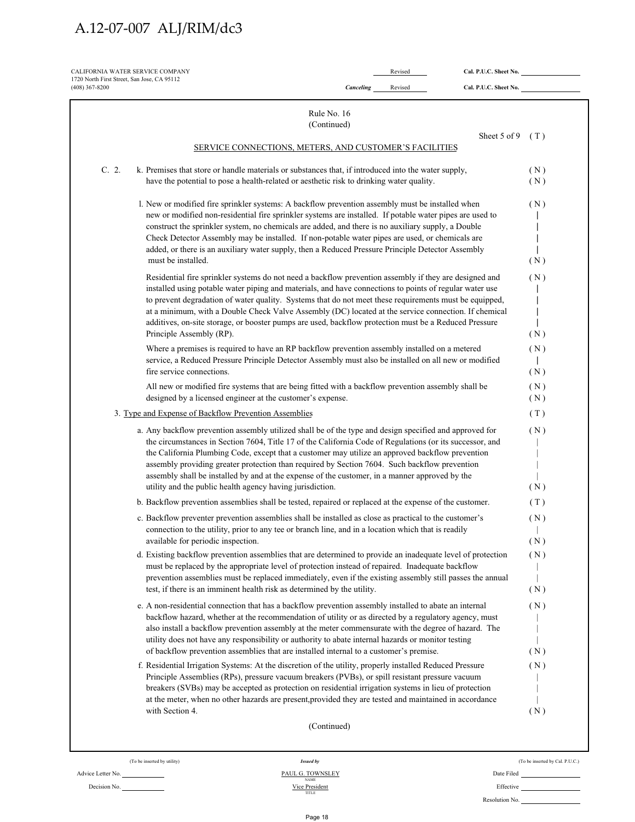| CALIFORNIA WATER SERVICE COMPANY<br>1720 North First Street, San Jose, CA 95112<br>$(408)$ 367-8200                                                                                                                                                                                                                                                                                                                                                                                                                                                                                     | Canceling                  | Revised<br>Revised | Cal. P.U.C. Sheet No.<br>Cal. P.U.C. Sheet No. |            |
|-----------------------------------------------------------------------------------------------------------------------------------------------------------------------------------------------------------------------------------------------------------------------------------------------------------------------------------------------------------------------------------------------------------------------------------------------------------------------------------------------------------------------------------------------------------------------------------------|----------------------------|--------------------|------------------------------------------------|------------|
|                                                                                                                                                                                                                                                                                                                                                                                                                                                                                                                                                                                         | Rule No. 16<br>(Continued) |                    |                                                |            |
| SERVICE CONNECTIONS, METERS, AND CUSTOMER'S FACILITIES                                                                                                                                                                                                                                                                                                                                                                                                                                                                                                                                  |                            |                    | Sheet 5 of 9                                   | (T)        |
| C. 2.<br>k. Premises that store or handle materials or substances that, if introduced into the water supply,<br>have the potential to pose a health-related or aesthetic risk to drinking water quality.                                                                                                                                                                                                                                                                                                                                                                                |                            |                    |                                                | (N)<br>(N) |
| l. New or modified fire sprinkler systems: A backflow prevention assembly must be installed when<br>new or modified non-residential fire sprinkler systems are installed. If potable water pipes are used to<br>construct the sprinkler system, no chemicals are added, and there is no auxiliary supply, a Double<br>Check Detector Assembly may be installed. If non-potable water pipes are used, or chemicals are<br>added, or there is an auxiliary water supply, then a Reduced Pressure Principle Detector Assembly<br>must be installed.                                        |                            |                    |                                                | (N)<br>(N) |
| Residential fire sprinkler systems do not need a backflow prevention assembly if they are designed and                                                                                                                                                                                                                                                                                                                                                                                                                                                                                  |                            |                    |                                                | (N)        |
| installed using potable water piping and materials, and have connections to points of regular water use<br>to prevent degradation of water quality. Systems that do not meet these requirements must be equipped,<br>at a minimum, with a Double Check Valve Assembly (DC) located at the service connection. If chemical<br>additives, on-site storage, or booster pumps are used, backflow protection must be a Reduced Pressure<br>Principle Assembly (RP).                                                                                                                          |                            |                    |                                                | (N)        |
| Where a premises is required to have an RP backflow prevention assembly installed on a metered<br>service, a Reduced Pressure Principle Detector Assembly must also be installed on all new or modified<br>fire service connections.                                                                                                                                                                                                                                                                                                                                                    |                            |                    |                                                | (N)<br>(N) |
| All new or modified fire systems that are being fitted with a backflow prevention assembly shall be<br>designed by a licensed engineer at the customer's expense.                                                                                                                                                                                                                                                                                                                                                                                                                       |                            |                    |                                                | (N)<br>(N) |
| 3. Type and Expense of Backflow Prevention Assemblies                                                                                                                                                                                                                                                                                                                                                                                                                                                                                                                                   |                            |                    |                                                | (T)        |
| a. Any backflow prevention assembly utilized shall be of the type and design specified and approved for<br>the circumstances in Section 7604, Title 17 of the California Code of Regulations (or its successor, and<br>the California Plumbing Code, except that a customer may utilize an approved backflow prevention<br>assembly providing greater protection than required by Section 7604. Such backflow prevention<br>assembly shall be installed by and at the expense of the customer, in a manner approved by the<br>utility and the public health agency having jurisdiction. |                            |                    |                                                | (N)<br>(N) |
| b. Backflow prevention assemblies shall be tested, repaired or replaced at the expense of the customer.                                                                                                                                                                                                                                                                                                                                                                                                                                                                                 |                            |                    |                                                | (T)        |
| c. Backflow preventer prevention assemblies shall be installed as close as practical to the customer's<br>connection to the utility, prior to any tee or branch line, and in a location which that is readily<br>available for periodic inspection.                                                                                                                                                                                                                                                                                                                                     |                            |                    |                                                | (N)<br>(N) |
| d. Existing backflow prevention assemblies that are determined to provide an inadequate level of protection<br>must be replaced by the appropriate level of protection instead of repaired. Inadequate backflow<br>prevention assemblies must be replaced immediately, even if the existing assembly still passes the annual<br>test, if there is an imminent health risk as determined by the utility.                                                                                                                                                                                 |                            |                    |                                                | (N)<br>(N) |
| e. A non-residential connection that has a backflow prevention assembly installed to abate an internal<br>backflow hazard, whether at the recommendation of utility or as directed by a regulatory agency, must<br>also install a backflow prevention assembly at the meter commensurate with the degree of hazard. The<br>utility does not have any responsibility or authority to abate internal hazards or monitor testing<br>of backflow prevention assemblies that are installed internal to a customer's premise.                                                                 |                            |                    |                                                | (N)<br>(N) |
| f. Residential Irrigation Systems: At the discretion of the utility, properly installed Reduced Pressure<br>Principle Assemblies (RPs), pressure vacuum breakers (PVBs), or spill resistant pressure vacuum<br>breakers (SVBs) may be accepted as protection on residential irrigation systems in lieu of protection<br>at the meter, when no other hazards are present, provided they are tested and maintained in accordance<br>with Section 4.                                                                                                                                       |                            |                    |                                                | (N)<br>(N) |
|                                                                                                                                                                                                                                                                                                                                                                                                                                                                                                                                                                                         | (Continued)                |                    |                                                |            |

Decision No.

(To be inserted by utility) *Issued by* (To be inserted by Cal. P.U.C.)

Advice Letter No. <u>PAUL G. TOWNSLEY</u> Date Filed Decision No. PAUL G. TOWNSLEY Date Filed NAME Decision No. PAUL G. TOWNSLEY Date Filed NAME DEFective Resolution No.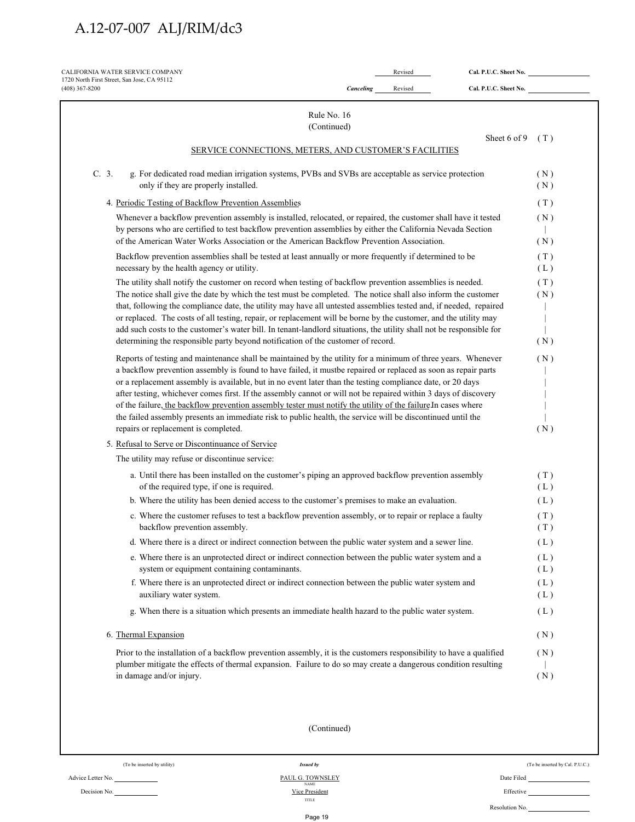| $(408)$ 367-8200                                                                                                                                                                                                                                                                                                                                                                                                                                                                                                                                                                                                                                                                                                                        | Canceling | Revised | Cal. P.U.C. Sheet No. |                   |
|-----------------------------------------------------------------------------------------------------------------------------------------------------------------------------------------------------------------------------------------------------------------------------------------------------------------------------------------------------------------------------------------------------------------------------------------------------------------------------------------------------------------------------------------------------------------------------------------------------------------------------------------------------------------------------------------------------------------------------------------|-----------|---------|-----------------------|-------------------|
| Rule No. 16                                                                                                                                                                                                                                                                                                                                                                                                                                                                                                                                                                                                                                                                                                                             |           |         |                       |                   |
| (Continued)                                                                                                                                                                                                                                                                                                                                                                                                                                                                                                                                                                                                                                                                                                                             |           |         |                       |                   |
| SERVICE CONNECTIONS, METERS, AND CUSTOMER'S FACILITIES                                                                                                                                                                                                                                                                                                                                                                                                                                                                                                                                                                                                                                                                                  |           |         | Sheet 6 of 9          | (T)               |
| C. 3.<br>g. For dedicated road median irrigation systems, PVBs and SVBs are acceptable as service protection<br>only if they are properly installed.                                                                                                                                                                                                                                                                                                                                                                                                                                                                                                                                                                                    |           |         |                       | (N)<br>(N)        |
| 4. Periodic Testing of Backflow Prevention Assemblies                                                                                                                                                                                                                                                                                                                                                                                                                                                                                                                                                                                                                                                                                   |           |         |                       | (T)               |
| Whenever a backflow prevention assembly is installed, relocated, or repaired, the customer shall have it tested<br>by persons who are certified to test backflow prevention assemblies by either the California Nevada Section<br>of the American Water Works Association or the American Backflow Prevention Association.                                                                                                                                                                                                                                                                                                                                                                                                              |           |         |                       | (N)<br>(N)        |
| Backflow prevention assemblies shall be tested at least annually or more frequently if determined to be<br>necessary by the health agency or utility.                                                                                                                                                                                                                                                                                                                                                                                                                                                                                                                                                                                   |           |         |                       | (T)<br>(L)        |
| The utility shall notify the customer on record when testing of backflow prevention assemblies is needed.<br>The notice shall give the date by which the test must be completed. The notice shall also inform the customer<br>that, following the compliance date, the utility may have all untested assemblies tested and, if needed, repaired<br>or replaced. The costs of all testing, repair, or replacement will be borne by the customer, and the utility may<br>add such costs to the customer's water bill. In tenant-landlord situations, the utility shall not be responsible for<br>determining the responsible party beyond notification of the customer of record.                                                         |           |         |                       | (T)<br>(N)<br>(N) |
| Reports of testing and maintenance shall be maintained by the utility for a minimum of three years. Whenever<br>a backflow prevention assembly is found to have failed, it mustbe repaired or replaced as soon as repair parts<br>or a replacement assembly is available, but in no event later than the testing compliance date, or 20 days<br>after testing, whichever comes first. If the assembly cannot or will not be repaired within 3 days of discovery<br>of the failure, the backflow prevention assembly tester must notify the utility of the failure In cases where<br>the failed assembly presents an immediate risk to public health, the service will be discontinued until the<br>repairs or replacement is completed. |           |         |                       | (N)<br>(N)        |
| 5. Refusal to Serve or Discontinuance of Service                                                                                                                                                                                                                                                                                                                                                                                                                                                                                                                                                                                                                                                                                        |           |         |                       |                   |
| The utility may refuse or discontinue service:                                                                                                                                                                                                                                                                                                                                                                                                                                                                                                                                                                                                                                                                                          |           |         |                       |                   |
| a. Until there has been installed on the customer's piping an approved backflow prevention assembly<br>of the required type, if one is required.                                                                                                                                                                                                                                                                                                                                                                                                                                                                                                                                                                                        |           |         |                       | (T)<br>(L)        |
| b. Where the utility has been denied access to the customer's premises to make an evaluation.                                                                                                                                                                                                                                                                                                                                                                                                                                                                                                                                                                                                                                           |           |         |                       | (L)               |
| c. Where the customer refuses to test a backflow prevention assembly, or to repair or replace a faulty<br>backflow prevention assembly.                                                                                                                                                                                                                                                                                                                                                                                                                                                                                                                                                                                                 |           |         |                       | (T)<br>(T)        |
| d. Where there is a direct or indirect connection between the public water system and a sewer line.                                                                                                                                                                                                                                                                                                                                                                                                                                                                                                                                                                                                                                     |           |         |                       | (L)               |
| e. Where there is an unprotected direct or indirect connection between the public water system and a<br>system or equipment containing contaminants.                                                                                                                                                                                                                                                                                                                                                                                                                                                                                                                                                                                    |           |         |                       | (L)<br>(L)        |
| f. Where there is an unprotected direct or indirect connection between the public water system and<br>auxiliary water system.                                                                                                                                                                                                                                                                                                                                                                                                                                                                                                                                                                                                           |           |         |                       | (L)<br>(L)        |
| g. When there is a situation which presents an immediate health hazard to the public water system.                                                                                                                                                                                                                                                                                                                                                                                                                                                                                                                                                                                                                                      |           |         |                       | (L)               |
| 6. Thermal Expansion                                                                                                                                                                                                                                                                                                                                                                                                                                                                                                                                                                                                                                                                                                                    |           |         |                       | (N)               |
| Prior to the installation of a backflow prevention assembly, it is the customers responsibility to have a qualified<br>plumber mitigate the effects of thermal expansion. Failure to do so may create a dangerous condition resulting<br>in damage and/or injury.                                                                                                                                                                                                                                                                                                                                                                                                                                                                       |           |         |                       | (N)<br>(N)        |
|                                                                                                                                                                                                                                                                                                                                                                                                                                                                                                                                                                                                                                                                                                                                         |           |         |                       |                   |

| (To be inserted by utility) |
|-----------------------------|
|                             |

Decision No.

TITLE

**Issued by** (To be inserted by Cal. P.U.C.)

Resolution No.

Page 19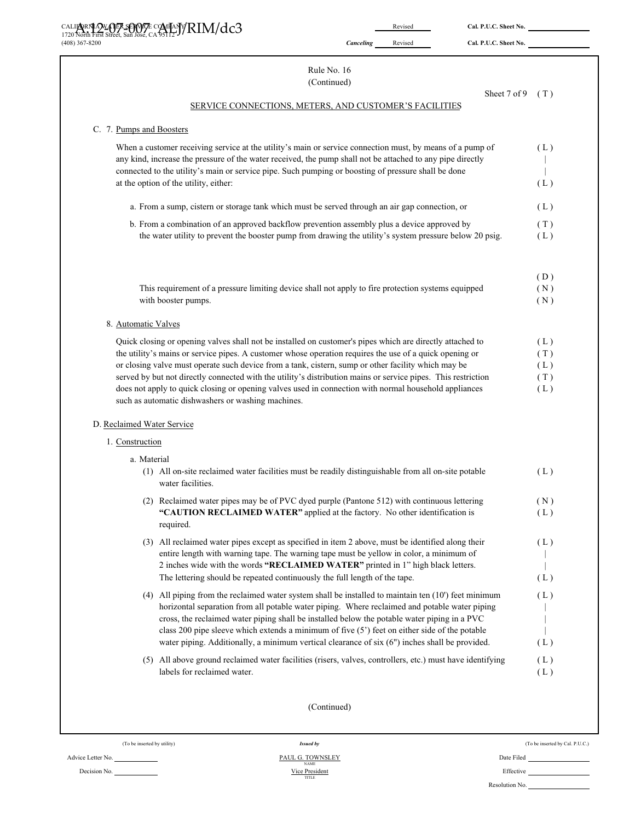|                                                                                             | M/RIM/dc3%                                                                                                                                                                                                              |           | Revised | Cal. P.U.C. Sheet No. |            |
|---------------------------------------------------------------------------------------------|-------------------------------------------------------------------------------------------------------------------------------------------------------------------------------------------------------------------------|-----------|---------|-----------------------|------------|
| (408) 367-8200                                                                              |                                                                                                                                                                                                                         | Canceling | Revised | Cal. P.U.C. Sheet No. |            |
|                                                                                             | Rule No. 16                                                                                                                                                                                                             |           |         |                       |            |
|                                                                                             | (Continued)                                                                                                                                                                                                             |           |         |                       |            |
|                                                                                             | SERVICE CONNECTIONS, METERS, AND CUSTOMER'S FACILITIES                                                                                                                                                                  |           |         | Sheet 7 of 9          | (T)        |
| C. 7. Pumps and Boosters                                                                    |                                                                                                                                                                                                                         |           |         |                       |            |
|                                                                                             | When a customer receiving service at the utility's main or service connection must, by means of a pump of<br>any kind, increase the pressure of the water received, the pump shall not be attached to any pipe directly |           |         |                       | (L)        |
|                                                                                             | connected to the utility's main or service pipe. Such pumping or boosting of pressure shall be done<br>at the option of the utility, either:                                                                            |           |         |                       | (L)        |
|                                                                                             | a. From a sump, cistern or storage tank which must be served through an air gap connection, or                                                                                                                          |           |         |                       | (L)        |
| b. From a combination of an approved backflow prevention assembly plus a device approved by |                                                                                                                                                                                                                         |           |         |                       |            |
|                                                                                             | the water utility to prevent the booster pump from drawing the utility's system pressure below 20 psig.                                                                                                                 |           |         |                       | (T)<br>(L) |
|                                                                                             |                                                                                                                                                                                                                         |           |         |                       | (D)        |
|                                                                                             | This requirement of a pressure limiting device shall not apply to fire protection systems equipped                                                                                                                      |           |         |                       | (N)        |
|                                                                                             | with booster pumps.                                                                                                                                                                                                     |           |         |                       | (N)        |
| 8. Automatic Valves                                                                         |                                                                                                                                                                                                                         |           |         |                       |            |
|                                                                                             | Quick closing or opening valves shall not be installed on customer's pipes which are directly attached to                                                                                                               |           |         |                       | (L)        |
|                                                                                             | the utility's mains or service pipes. A customer whose operation requires the use of a quick opening or                                                                                                                 |           |         |                       | (T)        |
|                                                                                             | or closing valve must operate such device from a tank, cistern, sump or other facility which may be<br>served by but not directly connected with the utility's distribution mains or service pipes. This restriction    |           |         |                       | (L)<br>(T) |
|                                                                                             | does not apply to quick closing or opening valves used in connection with normal household appliances<br>such as automatic dishwashers or washing machines.                                                             |           |         |                       | (L)        |
| D. Reclaimed Water Service                                                                  |                                                                                                                                                                                                                         |           |         |                       |            |
| 1. Construction                                                                             |                                                                                                                                                                                                                         |           |         |                       |            |
| a. Material                                                                                 |                                                                                                                                                                                                                         |           |         |                       |            |
|                                                                                             | (1) All on-site reclaimed water facilities must be readily distinguishable from all on-site potable<br>water facilities.                                                                                                |           |         |                       | (L)        |
|                                                                                             | (2) Reclaimed water pipes may be of PVC dyed purple (Pantone 512) with continuous lettering                                                                                                                             |           |         |                       | (N)        |
|                                                                                             | "CAUTION RECLAIMED WATER" applied at the factory. No other identification is<br>required.                                                                                                                               |           |         |                       | (L)        |
|                                                                                             | (3) All reclaimed water pipes except as specified in item 2 above, must be identified along their                                                                                                                       |           |         |                       | (L)        |
|                                                                                             | entire length with warning tape. The warning tape must be yellow in color, a minimum of                                                                                                                                 |           |         |                       |            |
|                                                                                             | 2 inches wide with the words "RECLAIMED WATER" printed in 1" high black letters.<br>The lettering should be repeated continuously the full length of the tape.                                                          |           |         |                       | (L)        |
|                                                                                             | (4) All piping from the reclaimed water system shall be installed to maintain ten (10') feet minimum                                                                                                                    |           |         |                       | (L)        |
|                                                                                             | horizontal separation from all potable water piping. Where reclaimed and potable water piping                                                                                                                           |           |         |                       |            |
|                                                                                             | cross, the reclaimed water piping shall be installed below the potable water piping in a PVC                                                                                                                            |           |         |                       |            |
|                                                                                             | class 200 pipe sleeve which extends a minimum of five (5') feet on either side of the potable<br>water piping. Additionally, a minimum vertical clearance of six (6") inches shall be provided.                         |           |         |                       | (L)        |
|                                                                                             | (5) All above ground reclaimed water facilities (risers, valves, controllers, etc.) must have identifying                                                                                                               |           |         |                       | (L)        |
|                                                                                             | labels for reclaimed water.                                                                                                                                                                                             |           |         |                       | (L)        |
|                                                                                             | (Continued)                                                                                                                                                                                                             |           |         |                       |            |

Decision No.

(To be inserted by utility) *Issued by* (To be inserted by Cal. P.U.C.)

Advice Letter No. **PAUL G. TOWNSLEY** Date Filed Date Filed Decision No. **PAUL G. TOWNSLEY** Date Filed NAME DECISION NO. Resolution No.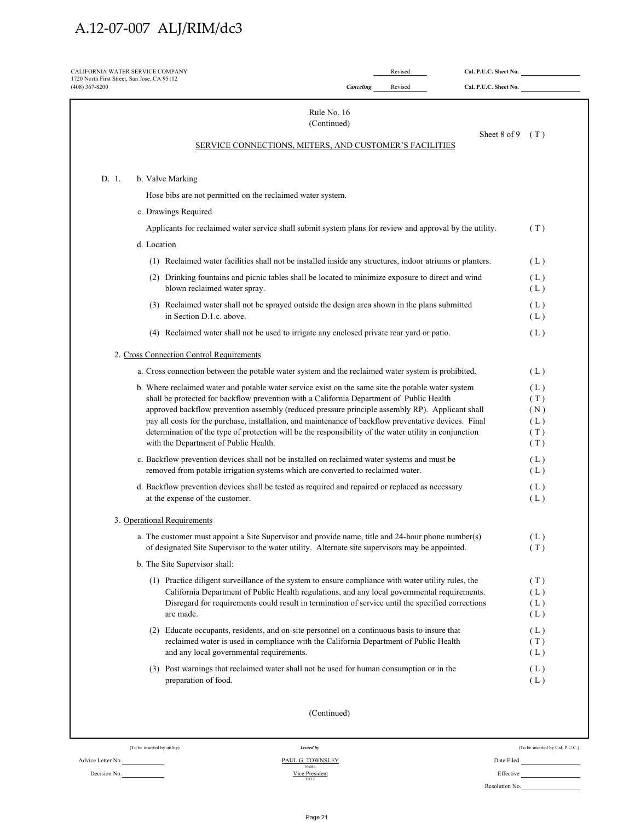| CALIFORNIA WATER SERVICE COMPANY<br>1720 North First Street, San Jose, CA 95112<br>$(408)$ 367-8200 | Canceling                                                                                                                                                                                                                                                                                                                                                                                                                                                                                                                                                     | Revised<br>Revised | Cal. P.U.C. Sheet No.<br>Cal. P.U.C. Sheet No. |                                        |
|-----------------------------------------------------------------------------------------------------|---------------------------------------------------------------------------------------------------------------------------------------------------------------------------------------------------------------------------------------------------------------------------------------------------------------------------------------------------------------------------------------------------------------------------------------------------------------------------------------------------------------------------------------------------------------|--------------------|------------------------------------------------|----------------------------------------|
|                                                                                                     | Rule No. 16<br>(Continued)                                                                                                                                                                                                                                                                                                                                                                                                                                                                                                                                    |                    |                                                |                                        |
|                                                                                                     | SERVICE CONNECTIONS, METERS, AND CUSTOMER'S FACILITIES                                                                                                                                                                                                                                                                                                                                                                                                                                                                                                        |                    | Sheet 8 of 9                                   | (T)                                    |
| D. 1.<br>b. Valve Marking                                                                           |                                                                                                                                                                                                                                                                                                                                                                                                                                                                                                                                                               |                    |                                                |                                        |
|                                                                                                     | Hose bibs are not permitted on the reclaimed water system.                                                                                                                                                                                                                                                                                                                                                                                                                                                                                                    |                    |                                                |                                        |
|                                                                                                     | c. Drawings Required                                                                                                                                                                                                                                                                                                                                                                                                                                                                                                                                          |                    |                                                |                                        |
|                                                                                                     | Applicants for reclaimed water service shall submit system plans for review and approval by the utility.                                                                                                                                                                                                                                                                                                                                                                                                                                                      |                    |                                                | (T)                                    |
| d. Location                                                                                         |                                                                                                                                                                                                                                                                                                                                                                                                                                                                                                                                                               |                    |                                                |                                        |
|                                                                                                     | (1) Reclaimed water facilities shall not be installed inside any structures, indoor atriums or planters.                                                                                                                                                                                                                                                                                                                                                                                                                                                      |                    |                                                | (L)                                    |
|                                                                                                     | (2) Drinking fountains and picnic tables shall be located to minimize exposure to direct and wind<br>blown reclaimed water spray.                                                                                                                                                                                                                                                                                                                                                                                                                             |                    |                                                | (L)<br>(L)                             |
|                                                                                                     | (3) Reclaimed water shall not be sprayed outside the design area shown in the plans submitted<br>in Section D.1.c. above.                                                                                                                                                                                                                                                                                                                                                                                                                                     |                    |                                                | (L)<br>(L)                             |
|                                                                                                     | (4) Reclaimed water shall not be used to irrigate any enclosed private rear yard or patio.                                                                                                                                                                                                                                                                                                                                                                                                                                                                    |                    |                                                | (L)                                    |
|                                                                                                     | 2. Cross Connection Control Requirements                                                                                                                                                                                                                                                                                                                                                                                                                                                                                                                      |                    |                                                |                                        |
|                                                                                                     | a. Cross connection between the potable water system and the reclaimed water system is prohibited.                                                                                                                                                                                                                                                                                                                                                                                                                                                            |                    |                                                | (L)                                    |
|                                                                                                     | b. Where reclaimed water and potable water service exist on the same site the potable water system<br>shall be protected for backflow prevention with a California Department of Public Health<br>approved backflow prevention assembly (reduced pressure principle assembly RP). Applicant shall<br>pay all costs for the purchase, installation, and maintenance of backflow preventative devices. Final<br>determination of the type of protection will be the responsibility of the water utility in conjunction<br>with the Department of Public Health. |                    |                                                | (L)<br>(T)<br>(N)<br>(L)<br>(T)<br>(T) |
|                                                                                                     | c. Backflow prevention devices shall not be installed on reclaimed water systems and must be<br>removed from potable irrigation systems which are converted to reclaimed water.                                                                                                                                                                                                                                                                                                                                                                               |                    |                                                | (L)<br>(L)                             |
|                                                                                                     | d. Backflow prevention devices shall be tested as required and repaired or replaced as necessary<br>at the expense of the customer.                                                                                                                                                                                                                                                                                                                                                                                                                           |                    |                                                | (L)<br>(L)                             |
| 3. Operational Requirements                                                                         |                                                                                                                                                                                                                                                                                                                                                                                                                                                                                                                                                               |                    |                                                |                                        |
|                                                                                                     | a. The customer must appoint a Site Supervisor and provide name, title and 24-hour phone number(s)<br>of designated Site Supervisor to the water utility. Alternate site supervisors may be appointed.                                                                                                                                                                                                                                                                                                                                                        |                    |                                                | (L)<br>(T)                             |
|                                                                                                     | b. The Site Supervisor shall:                                                                                                                                                                                                                                                                                                                                                                                                                                                                                                                                 |                    |                                                |                                        |
|                                                                                                     | (1) Practice diligent surveillance of the system to ensure compliance with water utility rules, the<br>California Department of Public Health regulations, and any local governmental requirements.<br>Disregard for requirements could result in termination of service until the specified corrections<br>are made.                                                                                                                                                                                                                                         |                    |                                                | (T)<br>(L)<br>(L)<br>(L)               |
|                                                                                                     | (2) Educate occupants, residents, and on-site personnel on a continuous basis to insure that<br>reclaimed water is used in compliance with the California Department of Public Health<br>and any local governmental requirements.                                                                                                                                                                                                                                                                                                                             |                    |                                                | (L)<br>(T)<br>(L)                      |
|                                                                                                     | (3) Post warnings that reclaimed water shall not be used for human consumption or in the<br>preparation of food.                                                                                                                                                                                                                                                                                                                                                                                                                                              |                    |                                                | (L)<br>(L)                             |
|                                                                                                     | (Continued)                                                                                                                                                                                                                                                                                                                                                                                                                                                                                                                                                   |                    |                                                |                                        |
| (To be inserted by utility)                                                                         | <b>Issued by</b>                                                                                                                                                                                                                                                                                                                                                                                                                                                                                                                                              |                    |                                                | (To be inserted by Cal. P.U.C.)        |
|                                                                                                     | PAUL G. TOWNSLEY                                                                                                                                                                                                                                                                                                                                                                                                                                                                                                                                              |                    |                                                |                                        |

Decision No.

Advice Letter No. PAUL G. TOWNSLEY  $Vice President$ 

| Effective      |  |
|----------------|--|
| Resolution No. |  |

Page 21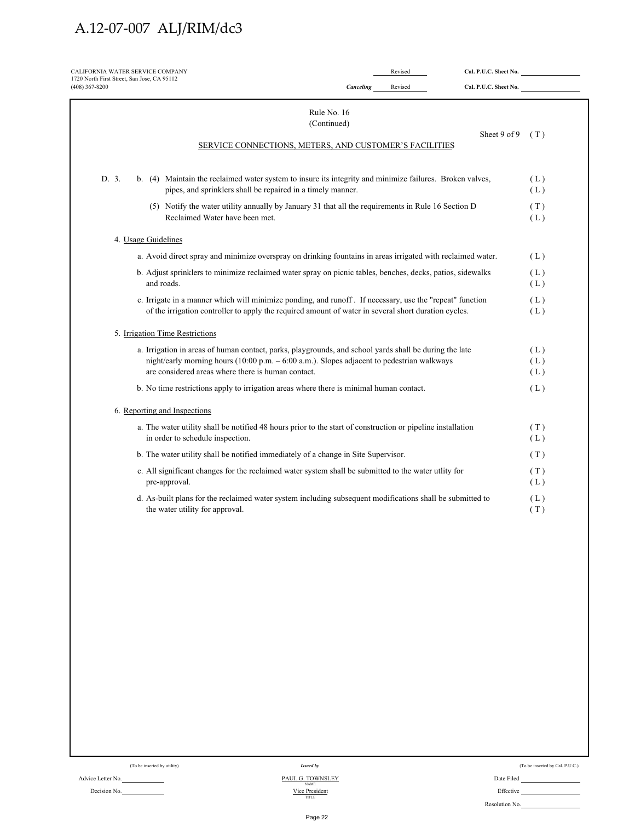| 1720 North First Street, San Jose, CA 95112<br>$(408)$ 367-8200                                                                                                                                                                                            | Canceling | Revised | Cal. P.U.C. Sheet No. |                   |
|------------------------------------------------------------------------------------------------------------------------------------------------------------------------------------------------------------------------------------------------------------|-----------|---------|-----------------------|-------------------|
| Rule No. 16                                                                                                                                                                                                                                                |           |         |                       |                   |
| (Continued)<br>SERVICE CONNECTIONS, METERS, AND CUSTOMER'S FACILITIES                                                                                                                                                                                      |           |         | Sheet 9 of 9          | (T)               |
| D. 3.<br>b. (4) Maintain the reclaimed water system to insure its integrity and minimize failures. Broken valves,<br>pipes, and sprinklers shall be repaired in a timely manner.                                                                           |           |         |                       | (L)<br>(L)        |
| (5) Notify the water utility annually by January 31 that all the requirements in Rule 16 Section D<br>Reclaimed Water have been met.                                                                                                                       |           |         |                       | (T)<br>(L)        |
| 4. Usage Guidelines                                                                                                                                                                                                                                        |           |         |                       |                   |
| a. Avoid direct spray and minimize overspray on drinking fountains in areas irrigated with reclaimed water.                                                                                                                                                |           |         |                       | (L)               |
| b. Adjust sprinklers to minimize reclaimed water spray on picnic tables, benches, decks, patios, sidewalks<br>and roads.                                                                                                                                   |           |         |                       | (L)<br>(L)        |
| c. Irrigate in a manner which will minimize ponding, and runoff . If necessary, use the "repeat" function<br>of the irrigation controller to apply the required amount of water in several short duration cycles.                                          |           |         |                       | (L)<br>(L)        |
| 5. Irrigation Time Restrictions                                                                                                                                                                                                                            |           |         |                       |                   |
| a. Irrigation in areas of human contact, parks, playgrounds, and school yards shall be during the late<br>night/early morning hours (10:00 p.m. - 6:00 a.m.). Slopes adjacent to pedestrian walkways<br>are considered areas where there is human contact. |           |         |                       | (L)<br>(L)<br>(L) |
| b. No time restrictions apply to irrigation areas where there is minimal human contact.                                                                                                                                                                    |           |         |                       | (L)               |
| 6. Reporting and Inspections                                                                                                                                                                                                                               |           |         |                       |                   |
| a. The water utility shall be notified 48 hours prior to the start of construction or pipeline installation<br>in order to schedule inspection.                                                                                                            |           |         |                       | (T)<br>(L)        |
| b. The water utility shall be notified immediately of a change in Site Supervisor.                                                                                                                                                                         |           |         |                       | (T)               |
| c. All significant changes for the reclaimed water system shall be submitted to the water utlity for<br>pre-approval.                                                                                                                                      |           |         |                       | (T)<br>(L)        |
| d. As-built plans for the reclaimed water system including subsequent modifications shall be submitted to<br>the water utility for approval.                                                                                                               |           |         |                       | (L)<br>(T)        |
|                                                                                                                                                                                                                                                            |           |         |                       |                   |
|                                                                                                                                                                                                                                                            |           |         |                       |                   |
|                                                                                                                                                                                                                                                            |           |         |                       |                   |

Decision No.

Advice Letter No. <u>PAUL G. TOWNSLEY</u> Date Filed Decision No. PAUL G. TOWNSLEY Date Filed NAME DEFECTIVE  $\frac{\text{Vice President}}{\text{mte}}$ 

| (To be inserted by Cal. P.U.C.) |  |  |  |  |  |
|---------------------------------|--|--|--|--|--|
|---------------------------------|--|--|--|--|--|

| Littuttu       |  |
|----------------|--|
| Resolution No. |  |
|                |  |
|                |  |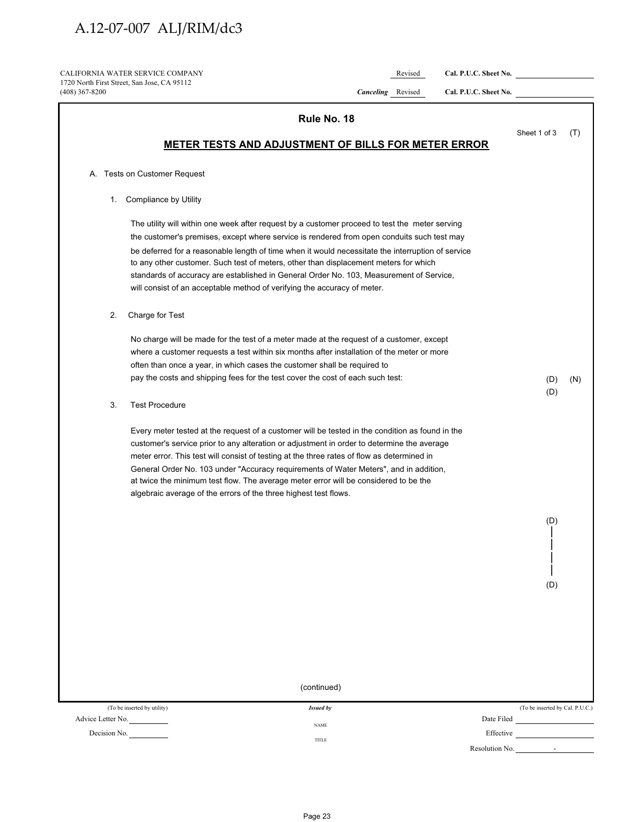CALIFORNIA WATER SERVICE COMPANY **Revised Cal. P.U.C. Sheet No.** \_ 1720 North First Street, San Jose, CA 95112 (408) 367-8200 *Canceling* Revised **Cal. P.U.C. Sheet No.** 

|              | Rule No. 18                                                                                                                                                                                                                                                                                                                                                                                                                                                                                                                                                      |                         |                                 |     |
|--------------|------------------------------------------------------------------------------------------------------------------------------------------------------------------------------------------------------------------------------------------------------------------------------------------------------------------------------------------------------------------------------------------------------------------------------------------------------------------------------------------------------------------------------------------------------------------|-------------------------|---------------------------------|-----|
|              | <b>METER TESTS AND ADJUSTMENT OF BILLS FOR METER ERROR</b>                                                                                                                                                                                                                                                                                                                                                                                                                                                                                                       |                         | Sheet 1 of 3                    | (T) |
|              | A. Tests on Customer Request                                                                                                                                                                                                                                                                                                                                                                                                                                                                                                                                     |                         |                                 |     |
| 1.           | Compliance by Utility                                                                                                                                                                                                                                                                                                                                                                                                                                                                                                                                            |                         |                                 |     |
|              | The utility will within one week after request by a customer proceed to test the meter serving<br>the customer's premises, except where service is rendered from open conduits such test may<br>be deferred for a reasonable length of time when it would necessitate the interruption of service<br>to any other customer. Such test of meters, other than displacement meters for which<br>standards of accuracy are established in General Order No. 103, Measurement of Service,<br>will consist of an acceptable method of verifying the accuracy of meter. |                         |                                 |     |
| 2.           | Charge for Test                                                                                                                                                                                                                                                                                                                                                                                                                                                                                                                                                  |                         |                                 |     |
|              | No charge will be made for the test of a meter made at the request of a customer, except<br>where a customer requests a test within six months after installation of the meter or more<br>often than once a year, in which cases the customer shall be required to<br>pay the costs and shipping fees for the test cover the cost of each such test:                                                                                                                                                                                                             |                         | (D)<br>(D)                      | (N) |
| 3.           | <b>Test Procedure</b>                                                                                                                                                                                                                                                                                                                                                                                                                                                                                                                                            |                         |                                 |     |
|              | Every meter tested at the request of a customer will be tested in the condition as found in the<br>customer's service prior to any alteration or adjustment in order to determine the average<br>meter error. This test will consist of testing at the three rates of flow as determined in<br>General Order No. 103 under "Accuracy requirements of Water Meters", and in addition,<br>at twice the minimum test flow. The average meter error will be considered to be the<br>algebraic average of the errors of the three highest test flows.                 |                         | (D)<br>(D)                      |     |
|              | (continued)                                                                                                                                                                                                                                                                                                                                                                                                                                                                                                                                                      |                         |                                 |     |
|              | (To be inserted by utility)<br><b>Issued by</b>                                                                                                                                                                                                                                                                                                                                                                                                                                                                                                                  |                         | (To be inserted by Cal. P.U.C.) |     |
| Decision No. | Advice Letter No.<br><b>NAME</b><br>$\sim$ $\sim$<br>TITLE                                                                                                                                                                                                                                                                                                                                                                                                                                                                                                       | Date Filed<br>Effective |                                 |     |
|              |                                                                                                                                                                                                                                                                                                                                                                                                                                                                                                                                                                  | Resolution No.          | $\sim$                          |     |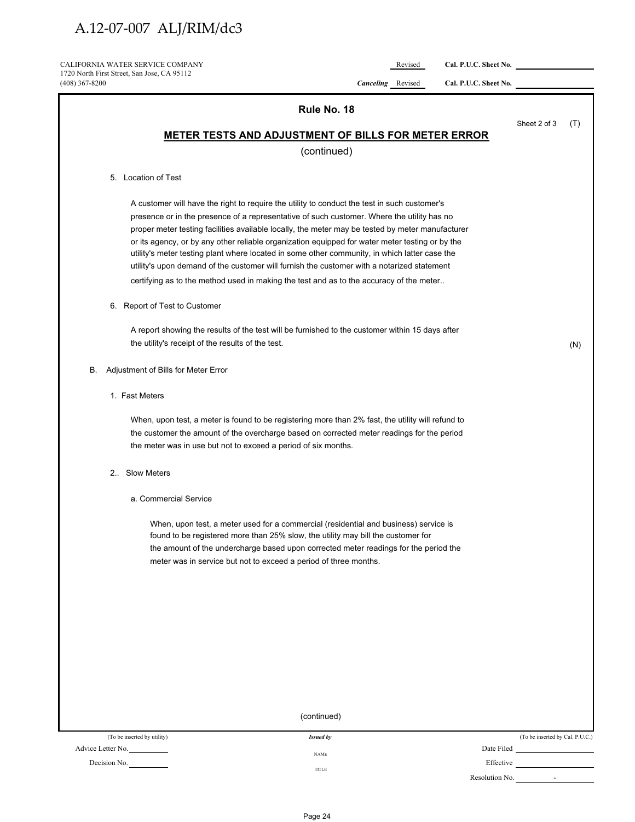CALIFORNIA WATER SERVICE COMPANY **Revised Cal. P.U.C. Sheet No.** 1720 North First Street, San Jose, CA 95112<br>(408) 367-8200

(408) 367-8200 *Canceling* Revised **Cal. P.U.C. Sheet No.** 

| 1007,001,0200     | $\ldots$<br>rcevised<br>CHR TICICI DIRECTION                                                                                                                                                                                                                                                                                                                                                                                                                                                                                                                                                                                                                                                |                |                                                       |     |
|-------------------|---------------------------------------------------------------------------------------------------------------------------------------------------------------------------------------------------------------------------------------------------------------------------------------------------------------------------------------------------------------------------------------------------------------------------------------------------------------------------------------------------------------------------------------------------------------------------------------------------------------------------------------------------------------------------------------------|----------------|-------------------------------------------------------|-----|
|                   | Rule No. 18                                                                                                                                                                                                                                                                                                                                                                                                                                                                                                                                                                                                                                                                                 |                |                                                       |     |
|                   |                                                                                                                                                                                                                                                                                                                                                                                                                                                                                                                                                                                                                                                                                             |                | Sheet 2 of 3                                          | (T) |
|                   | <b>METER TESTS AND ADJUSTMENT OF BILLS FOR METER ERROR</b>                                                                                                                                                                                                                                                                                                                                                                                                                                                                                                                                                                                                                                  |                |                                                       |     |
|                   | (continued)                                                                                                                                                                                                                                                                                                                                                                                                                                                                                                                                                                                                                                                                                 |                |                                                       |     |
|                   | 5. Location of Test                                                                                                                                                                                                                                                                                                                                                                                                                                                                                                                                                                                                                                                                         |                |                                                       |     |
|                   | A customer will have the right to require the utility to conduct the test in such customer's<br>presence or in the presence of a representative of such customer. Where the utility has no<br>proper meter testing facilities available locally, the meter may be tested by meter manufacturer<br>or its agency, or by any other reliable organization equipped for water meter testing or by the<br>utility's meter testing plant where located in some other community, in which latter case the<br>utility's upon demand of the customer will furnish the customer with a notarized statement<br>certifying as to the method used in making the test and as to the accuracy of the meter |                |                                                       |     |
|                   | 6. Report of Test to Customer                                                                                                                                                                                                                                                                                                                                                                                                                                                                                                                                                                                                                                                               |                |                                                       |     |
|                   | A report showing the results of the test will be furnished to the customer within 15 days after<br>the utility's receipt of the results of the test.                                                                                                                                                                                                                                                                                                                                                                                                                                                                                                                                        |                |                                                       | (N) |
| В.                | Adjustment of Bills for Meter Error                                                                                                                                                                                                                                                                                                                                                                                                                                                                                                                                                                                                                                                         |                |                                                       |     |
|                   | 1. Fast Meters                                                                                                                                                                                                                                                                                                                                                                                                                                                                                                                                                                                                                                                                              |                |                                                       |     |
|                   | When, upon test, a meter is found to be registering more than 2% fast, the utility will refund to<br>the customer the amount of the overcharge based on corrected meter readings for the period<br>the meter was in use but not to exceed a period of six months.                                                                                                                                                                                                                                                                                                                                                                                                                           |                |                                                       |     |
|                   | 2. Slow Meters                                                                                                                                                                                                                                                                                                                                                                                                                                                                                                                                                                                                                                                                              |                |                                                       |     |
|                   | a. Commercial Service                                                                                                                                                                                                                                                                                                                                                                                                                                                                                                                                                                                                                                                                       |                |                                                       |     |
|                   | When, upon test, a meter used for a commercial (residential and business) service is<br>found to be registered more than 25% slow, the utility may bill the customer for<br>the amount of the undercharge based upon corrected meter readings for the period the<br>meter was in service but not to exceed a period of three months.                                                                                                                                                                                                                                                                                                                                                        |                |                                                       |     |
|                   |                                                                                                                                                                                                                                                                                                                                                                                                                                                                                                                                                                                                                                                                                             |                |                                                       |     |
|                   |                                                                                                                                                                                                                                                                                                                                                                                                                                                                                                                                                                                                                                                                                             |                |                                                       |     |
|                   |                                                                                                                                                                                                                                                                                                                                                                                                                                                                                                                                                                                                                                                                                             |                |                                                       |     |
|                   | (continued)                                                                                                                                                                                                                                                                                                                                                                                                                                                                                                                                                                                                                                                                                 |                |                                                       |     |
|                   |                                                                                                                                                                                                                                                                                                                                                                                                                                                                                                                                                                                                                                                                                             |                |                                                       |     |
| Advice Letter No. | (To be inserted by utility)<br><b>Issued by</b>                                                                                                                                                                                                                                                                                                                                                                                                                                                                                                                                                                                                                                             |                | (To be inserted by Cal. P.U.C.)                       |     |
| Decision No.      | $\operatorname{NAME}$                                                                                                                                                                                                                                                                                                                                                                                                                                                                                                                                                                                                                                                                       |                | Effective                                             |     |
|                   | TITLE                                                                                                                                                                                                                                                                                                                                                                                                                                                                                                                                                                                                                                                                                       | Resolution No. | $\mathcal{L}_{\rm{max}}$ and $\mathcal{L}_{\rm{max}}$ |     |